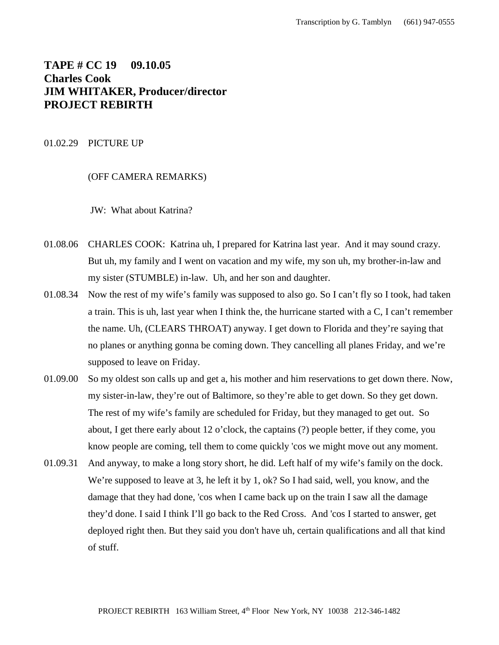# **TAPE # CC 19 09.10.05 Charles Cook JIM WHITAKER, Producer/director PROJECT REBIRTH**

### 01.02.29 PICTURE UP

(OFF CAMERA REMARKS)

JW: What about Katrina?

- 01.08.06 CHARLES COOK: Katrina uh, I prepared for Katrina last year. And it may sound crazy. But uh, my family and I went on vacation and my wife, my son uh, my brother-in-law and my sister (STUMBLE) in-law. Uh, and her son and daughter.
- 01.08.34 Now the rest of my wife's family was supposed to also go. So I can't fly so I took, had taken a train. This is uh, last year when I think the, the hurricane started with a C, I can't remember the name. Uh, (CLEARS THROAT) anyway. I get down to Florida and they're saying that no planes or anything gonna be coming down. They cancelling all planes Friday, and we're supposed to leave on Friday.
- 01.09.00 So my oldest son calls up and get a, his mother and him reservations to get down there. Now, my sister-in-law, they're out of Baltimore, so they're able to get down. So they get down. The rest of my wife's family are scheduled for Friday, but they managed to get out. So about, I get there early about 12 o'clock, the captains (?) people better, if they come, you know people are coming, tell them to come quickly 'cos we might move out any moment.
- 01.09.31 And anyway, to make a long story short, he did. Left half of my wife's family on the dock. We're supposed to leave at 3, he left it by 1, ok? So I had said, well, you know, and the damage that they had done, 'cos when I came back up on the train I saw all the damage they'd done. I said I think I'll go back to the Red Cross. And 'cos I started to answer, get deployed right then. But they said you don't have uh, certain qualifications and all that kind of stuff.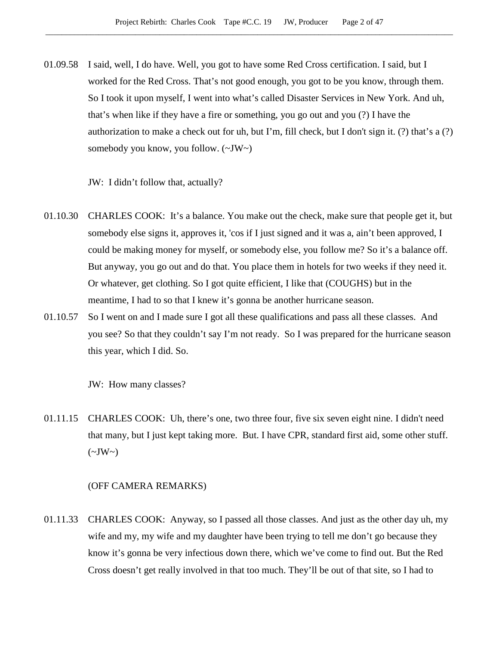01.09.58 I said, well, I do have. Well, you got to have some Red Cross certification. I said, but I worked for the Red Cross. That's not good enough, you got to be you know, through them. So I took it upon myself, I went into what's called Disaster Services in New York. And uh, that's when like if they have a fire or something, you go out and you (?) I have the authorization to make a check out for uh, but I'm, fill check, but I don't sign it. (?) that's a (?) somebody you know, you follow. (~JW~)

JW: I didn't follow that, actually?

- 01.10.30 CHARLES COOK: It's a balance. You make out the check, make sure that people get it, but somebody else signs it, approves it, 'cos if I just signed and it was a, ain't been approved, I could be making money for myself, or somebody else, you follow me? So it's a balance off. But anyway, you go out and do that. You place them in hotels for two weeks if they need it. Or whatever, get clothing. So I got quite efficient, I like that (COUGHS) but in the meantime, I had to so that I knew it's gonna be another hurricane season.
- 01.10.57 So I went on and I made sure I got all these qualifications and pass all these classes. And you see? So that they couldn't say I'm not ready. So I was prepared for the hurricane season this year, which I did. So.

JW: How many classes?

01.11.15 CHARLES COOK: Uh, there's one, two three four, five six seven eight nine. I didn't need that many, but I just kept taking more. But. I have CPR, standard first aid, some other stuff.  $(\sim JW \sim)$ 

#### (OFF CAMERA REMARKS)

01.11.33 CHARLES COOK: Anyway, so I passed all those classes. And just as the other day uh, my wife and my, my wife and my daughter have been trying to tell me don't go because they know it's gonna be very infectious down there, which we've come to find out. But the Red Cross doesn't get really involved in that too much. They'll be out of that site, so I had to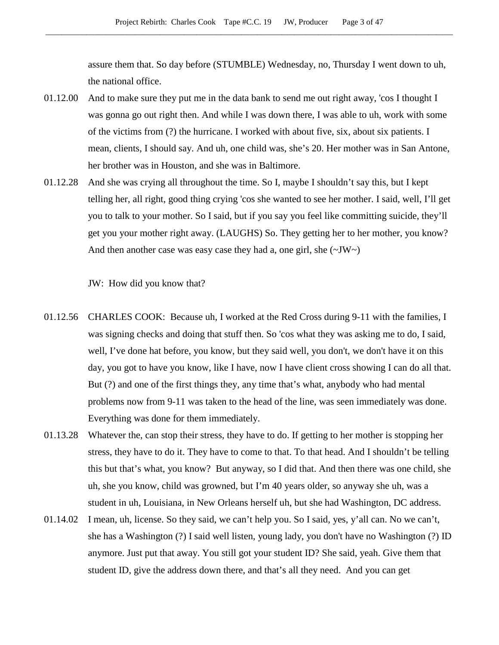assure them that. So day before (STUMBLE) Wednesday, no, Thursday I went down to uh, the national office.

- 01.12.00 And to make sure they put me in the data bank to send me out right away, 'cos I thought I was gonna go out right then. And while I was down there, I was able to uh, work with some of the victims from (?) the hurricane. I worked with about five, six, about six patients. I mean, clients, I should say. And uh, one child was, she's 20. Her mother was in San Antone, her brother was in Houston, and she was in Baltimore.
- 01.12.28 And she was crying all throughout the time. So I, maybe I shouldn't say this, but I kept telling her, all right, good thing crying 'cos she wanted to see her mother. I said, well, I'll get you to talk to your mother. So I said, but if you say you feel like committing suicide, they'll get you your mother right away. (LAUGHS) So. They getting her to her mother, you know? And then another case was easy case they had a, one girl, she  $(\sim JW \sim)$

JW: How did you know that?

- 01.12.56 CHARLES COOK: Because uh, I worked at the Red Cross during 9-11 with the families, I was signing checks and doing that stuff then. So 'cos what they was asking me to do, I said, well, I've done hat before, you know, but they said well, you don't, we don't have it on this day, you got to have you know, like I have, now I have client cross showing I can do all that. But (?) and one of the first things they, any time that's what, anybody who had mental problems now from 9-11 was taken to the head of the line, was seen immediately was done. Everything was done for them immediately.
- 01.13.28 Whatever the, can stop their stress, they have to do. If getting to her mother is stopping her stress, they have to do it. They have to come to that. To that head. And I shouldn't be telling this but that's what, you know? But anyway, so I did that. And then there was one child, she uh, she you know, child was growned, but I'm 40 years older, so anyway she uh, was a student in uh, Louisiana, in New Orleans herself uh, but she had Washington, DC address.
- 01.14.02 I mean, uh, license. So they said, we can't help you. So I said, yes, y'all can. No we can't, she has a Washington (?) I said well listen, young lady, you don't have no Washington (?) ID anymore. Just put that away. You still got your student ID? She said, yeah. Give them that student ID, give the address down there, and that's all they need. And you can get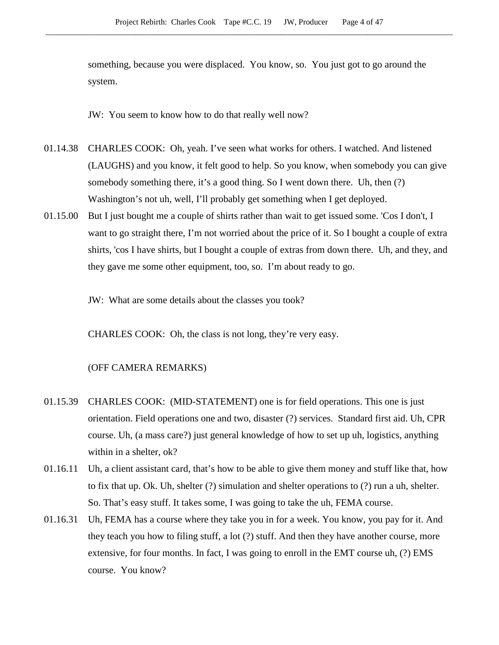something, because you were displaced. You know, so. You just got to go around the system.

JW: You seem to know how to do that really well now?

- 01.14.38 CHARLES COOK: Oh, yeah. I've seen what works for others. I watched. And listened (LAUGHS) and you know, it felt good to help. So you know, when somebody you can give somebody something there, it's a good thing. So I went down there. Uh, then (?) Washington's not uh, well, I'll probably get something when I get deployed.
- 01.15.00 But I just bought me a couple of shirts rather than wait to get issued some. 'Cos I don't, I want to go straight there, I'm not worried about the price of it. So I bought a couple of extra shirts, 'cos I have shirts, but I bought a couple of extras from down there. Uh, and they, and they gave me some other equipment, too, so. I'm about ready to go.

JW: What are some details about the classes you took?

CHARLES COOK: Oh, the class is not long, they're very easy.

# (OFF CAMERA REMARKS)

- 01.15.39 CHARLES COOK: (MID-STATEMENT) one is for field operations. This one is just orientation. Field operations one and two, disaster (?) services. Standard first aid. Uh, CPR course. Uh, (a mass care?) just general knowledge of how to set up uh, logistics, anything within in a shelter, ok?
- 01.16.11 Uh, a client assistant card, that's how to be able to give them money and stuff like that, how to fix that up. Ok. Uh, shelter (?) simulation and shelter operations to (?) run a uh, shelter. So. That's easy stuff. It takes some, I was going to take the uh, FEMA course.
- 01.16.31 Uh, FEMA has a course where they take you in for a week. You know, you pay for it. And they teach you how to filing stuff, a lot (?) stuff. And then they have another course, more extensive, for four months. In fact, I was going to enroll in the EMT course uh, (?) EMS course. You know?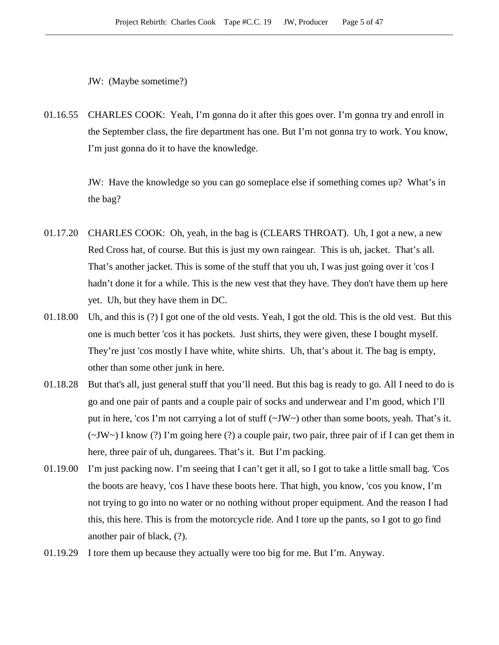JW: (Maybe sometime?)

01.16.55 CHARLES COOK: Yeah, I'm gonna do it after this goes over. I'm gonna try and enroll in the September class, the fire department has one. But I'm not gonna try to work. You know, I'm just gonna do it to have the knowledge.

> JW: Have the knowledge so you can go someplace else if something comes up? What's in the bag?

- 01.17.20 CHARLES COOK: Oh, yeah, in the bag is (CLEARS THROAT). Uh, I got a new, a new Red Cross hat, of course. But this is just my own raingear. This is uh, jacket. That's all. That's another jacket. This is some of the stuff that you uh, I was just going over it 'cos I hadn't done it for a while. This is the new vest that they have. They don't have them up here yet. Uh, but they have them in DC.
- 01.18.00 Uh, and this is (?) I got one of the old vests. Yeah, I got the old. This is the old vest. But this one is much better 'cos it has pockets. Just shirts, they were given, these I bought myself. They're just 'cos mostly I have white, white shirts. Uh, that's about it. The bag is empty, other than some other junk in here.
- 01.18.28 But that's all, just general stuff that you'll need. But this bag is ready to go. All I need to do is go and one pair of pants and a couple pair of socks and underwear and I'm good, which I'll put in here, 'cos I'm not carrying a lot of stuff (~JW~) other than some boots, yeah. That's it. (~JW~) I know (?) I'm going here (?) a couple pair, two pair, three pair of if I can get them in here, three pair of uh, dungarees. That's it. But I'm packing.
- 01.19.00 I'm just packing now. I'm seeing that I can't get it all, so I got to take a little small bag. 'Cos the boots are heavy, 'cos I have these boots here. That high, you know, 'cos you know, I'm not trying to go into no water or no nothing without proper equipment. And the reason I had this, this here. This is from the motorcycle ride. And I tore up the pants, so I got to go find another pair of black, (?).
- 01.19.29 I tore them up because they actually were too big for me. But I'm. Anyway.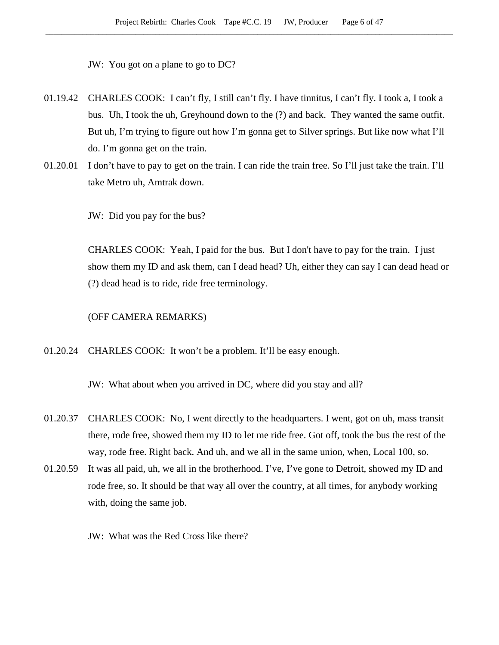JW: You got on a plane to go to DC?

- 01.19.42 CHARLES COOK: I can't fly, I still can't fly. I have tinnitus, I can't fly. I took a, I took a bus. Uh, I took the uh, Greyhound down to the (?) and back. They wanted the same outfit. But uh, I'm trying to figure out how I'm gonna get to Silver springs. But like now what I'll do. I'm gonna get on the train.
- 01.20.01 I don't have to pay to get on the train. I can ride the train free. So I'll just take the train. I'll take Metro uh, Amtrak down.

JW: Did you pay for the bus?

CHARLES COOK: Yeah, I paid for the bus. But I don't have to pay for the train. I just show them my ID and ask them, can I dead head? Uh, either they can say I can dead head or (?) dead head is to ride, ride free terminology.

#### (OFF CAMERA REMARKS)

01.20.24 CHARLES COOK: It won't be a problem. It'll be easy enough.

JW: What about when you arrived in DC, where did you stay and all?

- 01.20.37 CHARLES COOK: No, I went directly to the headquarters. I went, got on uh, mass transit there, rode free, showed them my ID to let me ride free. Got off, took the bus the rest of the way, rode free. Right back. And uh, and we all in the same union, when, Local 100, so.
- 01.20.59 It was all paid, uh, we all in the brotherhood. I've, I've gone to Detroit, showed my ID and rode free, so. It should be that way all over the country, at all times, for anybody working with, doing the same job.

JW: What was the Red Cross like there?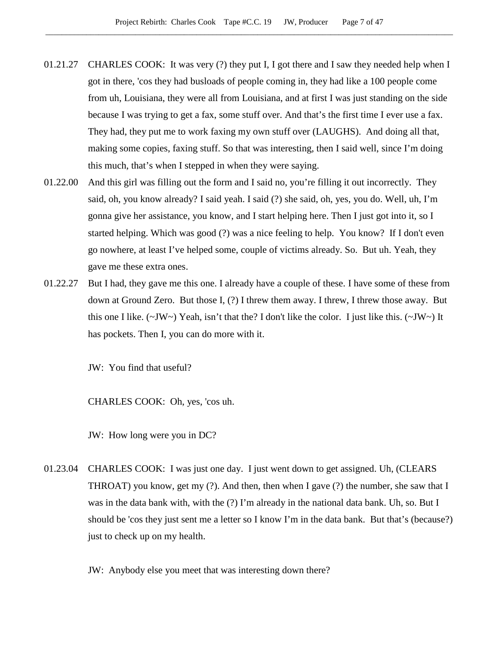- 01.21.27 CHARLES COOK: It was very (?) they put I, I got there and I saw they needed help when I got in there, 'cos they had busloads of people coming in, they had like a 100 people come from uh, Louisiana, they were all from Louisiana, and at first I was just standing on the side because I was trying to get a fax, some stuff over. And that's the first time I ever use a fax. They had, they put me to work faxing my own stuff over (LAUGHS). And doing all that, making some copies, faxing stuff. So that was interesting, then I said well, since I'm doing this much, that's when I stepped in when they were saying.
- 01.22.00 And this girl was filling out the form and I said no, you're filling it out incorrectly. They said, oh, you know already? I said yeah. I said (?) she said, oh, yes, you do. Well, uh, I'm gonna give her assistance, you know, and I start helping here. Then I just got into it, so I started helping. Which was good (?) was a nice feeling to help. You know? If I don't even go nowhere, at least I've helped some, couple of victims already. So. But uh. Yeah, they gave me these extra ones.
- 01.22.27 But I had, they gave me this one. I already have a couple of these. I have some of these from down at Ground Zero. But those I, (?) I threw them away. I threw, I threw those away. But this one I like. (~JW~) Yeah, isn't that the? I don't like the color. I just like this. (~JW~) It has pockets. Then I, you can do more with it.

JW: You find that useful?

CHARLES COOK: Oh, yes, 'cos uh.

JW: How long were you in DC?

01.23.04 CHARLES COOK: I was just one day. I just went down to get assigned. Uh, (CLEARS THROAT) you know, get my  $(?)$ . And then, then when I gave  $(?)$  the number, she saw that I was in the data bank with, with the (?) I'm already in the national data bank. Uh, so. But I should be 'cos they just sent me a letter so I know I'm in the data bank. But that's (because?) just to check up on my health.

JW: Anybody else you meet that was interesting down there?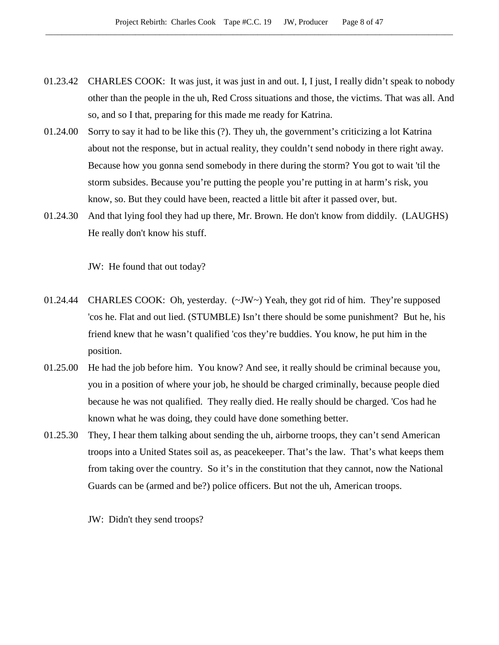- 01.23.42 CHARLES COOK: It was just, it was just in and out. I, I just, I really didn't speak to nobody other than the people in the uh, Red Cross situations and those, the victims. That was all. And so, and so I that, preparing for this made me ready for Katrina.
- 01.24.00 Sorry to say it had to be like this (?). They uh, the government's criticizing a lot Katrina about not the response, but in actual reality, they couldn't send nobody in there right away. Because how you gonna send somebody in there during the storm? You got to wait 'til the storm subsides. Because you're putting the people you're putting in at harm's risk, you know, so. But they could have been, reacted a little bit after it passed over, but.
- 01.24.30 And that lying fool they had up there, Mr. Brown. He don't know from diddily. (LAUGHS) He really don't know his stuff.

JW: He found that out today?

- 01.24.44 CHARLES COOK: Oh, yesterday. (~JW~) Yeah, they got rid of him. They're supposed 'cos he. Flat and out lied. (STUMBLE) Isn't there should be some punishment? But he, his friend knew that he wasn't qualified 'cos they're buddies. You know, he put him in the position.
- 01.25.00 He had the job before him. You know? And see, it really should be criminal because you, you in a position of where your job, he should be charged criminally, because people died because he was not qualified. They really died. He really should be charged. 'Cos had he known what he was doing, they could have done something better.
- 01.25.30 They, I hear them talking about sending the uh, airborne troops, they can't send American troops into a United States soil as, as peacekeeper. That's the law. That's what keeps them from taking over the country. So it's in the constitution that they cannot, now the National Guards can be (armed and be?) police officers. But not the uh, American troops.

JW: Didn't they send troops?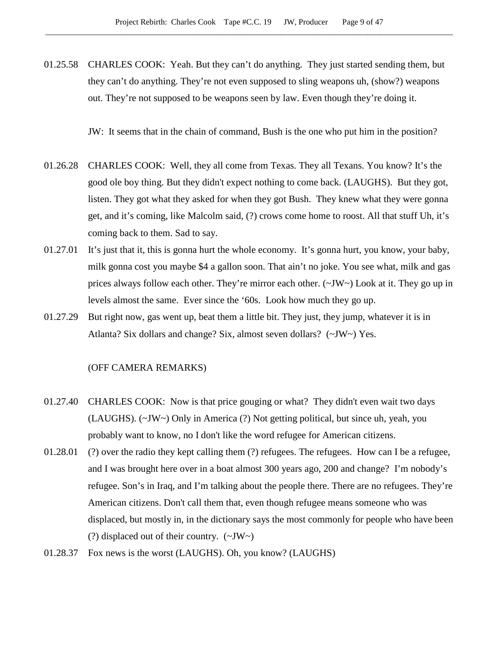01.25.58 CHARLES COOK: Yeah. But they can't do anything. They just started sending them, but they can't do anything. They're not even supposed to sling weapons uh, (show?) weapons out. They're not supposed to be weapons seen by law. Even though they're doing it.

JW: It seems that in the chain of command, Bush is the one who put him in the position?

- 01.26.28 CHARLES COOK: Well, they all come from Texas. They all Texans. You know? It's the good ole boy thing. But they didn't expect nothing to come back. (LAUGHS). But they got, listen. They got what they asked for when they got Bush. They knew what they were gonna get, and it's coming, like Malcolm said, (?) crows come home to roost. All that stuff Uh, it's coming back to them. Sad to say.
- 01.27.01 It's just that it, this is gonna hurt the whole economy. It's gonna hurt, you know, your baby, milk gonna cost you maybe \$4 a gallon soon. That ain't no joke. You see what, milk and gas prices always follow each other. They're mirror each other.  $(\sim JW)$  Look at it. They go up in levels almost the same. Ever since the '60s. Look how much they go up.
- 01.27.29 But right now, gas went up, beat them a little bit. They just, they jump, whatever it is in Atlanta? Six dollars and change? Six, almost seven dollars? (~JW~) Yes.

## (OFF CAMERA REMARKS)

- 01.27.40 CHARLES COOK: Now is that price gouging or what? They didn't even wait two days (LAUGHS). (~JW~) Only in America (?) Not getting political, but since uh, yeah, you probably want to know, no I don't like the word refugee for American citizens.
- 01.28.01 (?) over the radio they kept calling them (?) refugees. The refugees. How can I be a refugee, and I was brought here over in a boat almost 300 years ago, 200 and change? I'm nobody's refugee. Son's in Iraq, and I'm talking about the people there. There are no refugees. They're American citizens. Don't call them that, even though refugee means someone who was displaced, but mostly in, in the dictionary says the most commonly for people who have been (?) displaced out of their country. (~JW~)
- 01.28.37 Fox news is the worst (LAUGHS). Oh, you know? (LAUGHS)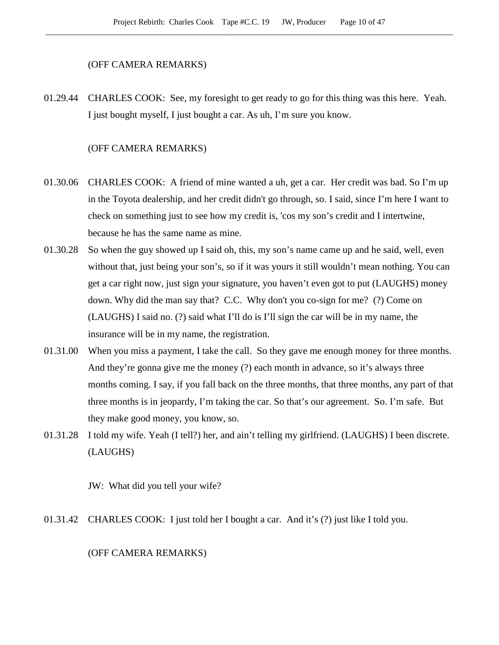### (OFF CAMERA REMARKS)

01.29.44 CHARLES COOK: See, my foresight to get ready to go for this thing was this here. Yeah. I just bought myself, I just bought a car. As uh, I'm sure you know.

# (OFF CAMERA REMARKS)

- 01.30.06 CHARLES COOK: A friend of mine wanted a uh, get a car. Her credit was bad. So I'm up in the Toyota dealership, and her credit didn't go through, so. I said, since I'm here I want to check on something just to see how my credit is, 'cos my son's credit and I intertwine, because he has the same name as mine.
- 01.30.28 So when the guy showed up I said oh, this, my son's name came up and he said, well, even without that, just being your son's, so if it was yours it still wouldn't mean nothing. You can get a car right now, just sign your signature, you haven't even got to put (LAUGHS) money down. Why did the man say that? C.C. Why don't you co-sign for me? (?) Come on (LAUGHS) I said no. (?) said what I'll do is I'll sign the car will be in my name, the insurance will be in my name, the registration.
- 01.31.00 When you miss a payment, I take the call. So they gave me enough money for three months. And they're gonna give me the money (?) each month in advance, so it's always three months coming. I say, if you fall back on the three months, that three months, any part of that three months is in jeopardy, I'm taking the car. So that's our agreement. So. I'm safe. But they make good money, you know, so.
- 01.31.28 I told my wife. Yeah (I tell?) her, and ain't telling my girlfriend. (LAUGHS) I been discrete. (LAUGHS)

JW: What did you tell your wife?

01.31.42 CHARLES COOK: I just told her I bought a car. And it's (?) just like I told you.

# (OFF CAMERA REMARKS)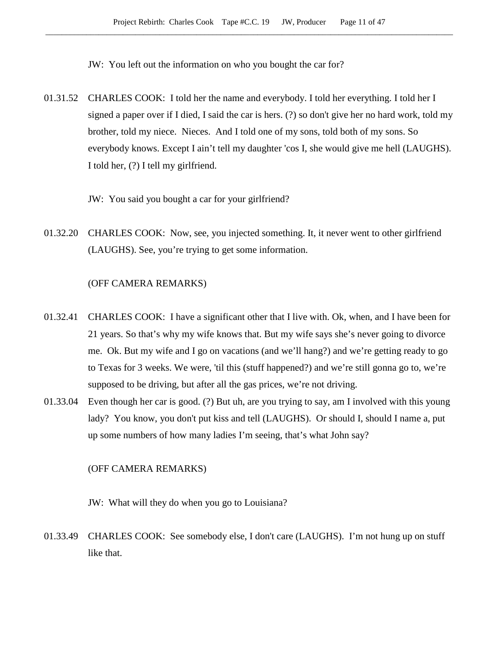JW: You left out the information on who you bought the car for?

- 01.31.52 CHARLES COOK: I told her the name and everybody. I told her everything. I told her I signed a paper over if I died, I said the car is hers. (?) so don't give her no hard work, told my brother, told my niece. Nieces. And I told one of my sons, told both of my sons. So everybody knows. Except I ain't tell my daughter 'cos I, she would give me hell (LAUGHS). I told her, (?) I tell my girlfriend.
	- JW: You said you bought a car for your girlfriend?
- 01.32.20 CHARLES COOK: Now, see, you injected something. It, it never went to other girlfriend (LAUGHS). See, you're trying to get some information.

# (OFF CAMERA REMARKS)

- 01.32.41 CHARLES COOK: I have a significant other that I live with. Ok, when, and I have been for 21 years. So that's why my wife knows that. But my wife says she's never going to divorce me. Ok. But my wife and I go on vacations (and we'll hang?) and we're getting ready to go to Texas for 3 weeks. We were, 'til this (stuff happened?) and we're still gonna go to, we're supposed to be driving, but after all the gas prices, we're not driving.
- 01.33.04 Even though her car is good. (?) But uh, are you trying to say, am I involved with this young lady? You know, you don't put kiss and tell (LAUGHS). Or should I, should I name a, put up some numbers of how many ladies I'm seeing, that's what John say?

#### (OFF CAMERA REMARKS)

JW: What will they do when you go to Louisiana?

01.33.49 CHARLES COOK: See somebody else, I don't care (LAUGHS). I'm not hung up on stuff like that.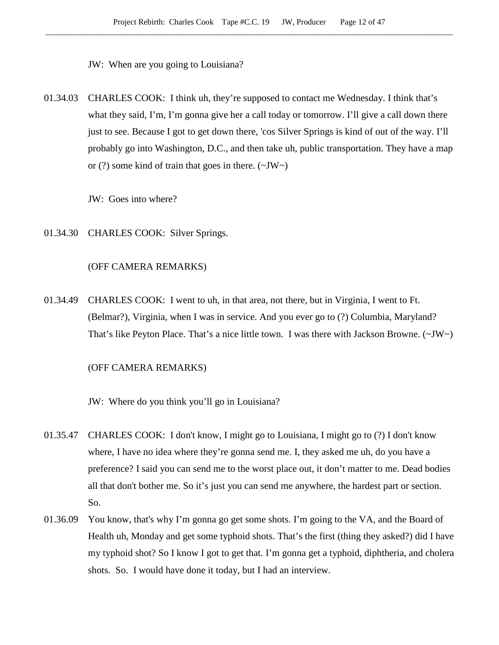JW: When are you going to Louisiana?

01.34.03 CHARLES COOK: I think uh, they're supposed to contact me Wednesday. I think that's what they said, I'm, I'm gonna give her a call today or tomorrow. I'll give a call down there just to see. Because I got to get down there, 'cos Silver Springs is kind of out of the way. I'll probably go into Washington, D.C., and then take uh, public transportation. They have a map or (?) some kind of train that goes in there.  $(\sim JW \sim)$ 

JW: Goes into where?

01.34.30 CHARLES COOK: Silver Springs.

## (OFF CAMERA REMARKS)

01.34.49 CHARLES COOK: I went to uh, in that area, not there, but in Virginia, I went to Ft. (Belmar?), Virginia, when I was in service. And you ever go to (?) Columbia, Maryland? That's like Peyton Place. That's a nice little town. I was there with Jackson Browne.  $(\sim JW \sim)$ 

## (OFF CAMERA REMARKS)

JW: Where do you think you'll go in Louisiana?

- 01.35.47 CHARLES COOK: I don't know, I might go to Louisiana, I might go to (?) I don't know where, I have no idea where they're gonna send me. I, they asked me uh, do you have a preference? I said you can send me to the worst place out, it don't matter to me. Dead bodies all that don't bother me. So it's just you can send me anywhere, the hardest part or section. So.
- 01.36.09 You know, that's why I'm gonna go get some shots. I'm going to the VA, and the Board of Health uh, Monday and get some typhoid shots. That's the first (thing they asked?) did I have my typhoid shot? So I know I got to get that. I'm gonna get a typhoid, diphtheria, and cholera shots. So. I would have done it today, but I had an interview.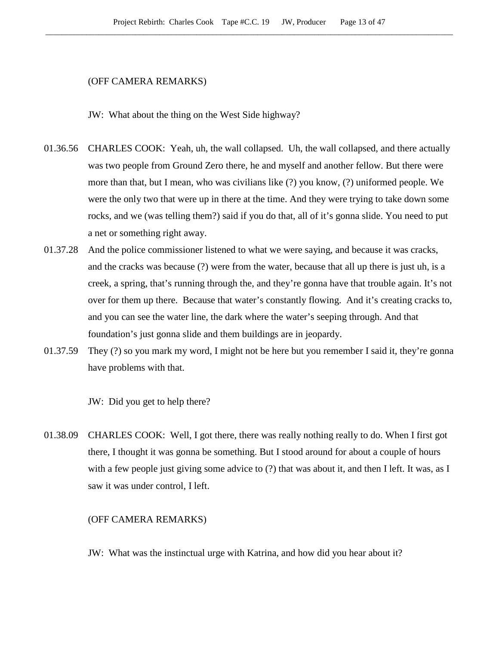# (OFF CAMERA REMARKS)

JW: What about the thing on the West Side highway?

- 01.36.56 CHARLES COOK: Yeah, uh, the wall collapsed. Uh, the wall collapsed, and there actually was two people from Ground Zero there, he and myself and another fellow. But there were more than that, but I mean, who was civilians like (?) you know, (?) uniformed people. We were the only two that were up in there at the time. And they were trying to take down some rocks, and we (was telling them?) said if you do that, all of it's gonna slide. You need to put a net or something right away.
- 01.37.28 And the police commissioner listened to what we were saying, and because it was cracks, and the cracks was because (?) were from the water, because that all up there is just uh, is a creek, a spring, that's running through the, and they're gonna have that trouble again. It's not over for them up there. Because that water's constantly flowing. And it's creating cracks to, and you can see the water line, the dark where the water's seeping through. And that foundation's just gonna slide and them buildings are in jeopardy.
- 01.37.59 They (?) so you mark my word, I might not be here but you remember I said it, they're gonna have problems with that.

JW: Did you get to help there?

01.38.09 CHARLES COOK: Well, I got there, there was really nothing really to do. When I first got there, I thought it was gonna be something. But I stood around for about a couple of hours with a few people just giving some advice to (?) that was about it, and then I left. It was, as I saw it was under control, I left.

# (OFF CAMERA REMARKS)

JW: What was the instinctual urge with Katrina, and how did you hear about it?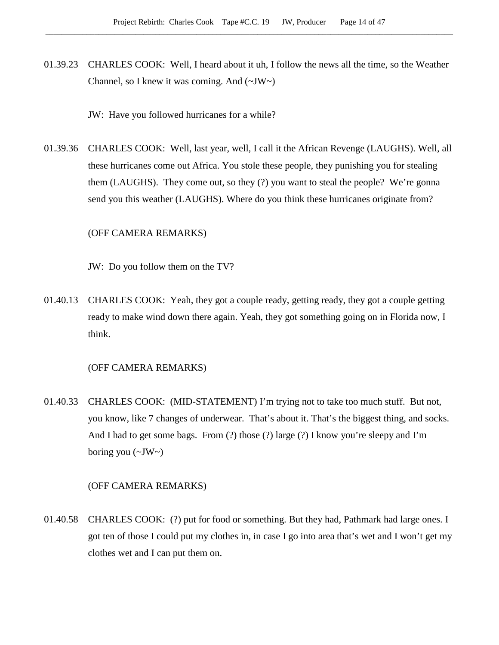01.39.23 CHARLES COOK: Well, I heard about it uh, I follow the news all the time, so the Weather Channel, so I knew it was coming. And  $(\sim JW)$ 

JW: Have you followed hurricanes for a while?

01.39.36 CHARLES COOK: Well, last year, well, I call it the African Revenge (LAUGHS). Well, all these hurricanes come out Africa. You stole these people, they punishing you for stealing them (LAUGHS). They come out, so they (?) you want to steal the people? We're gonna send you this weather (LAUGHS). Where do you think these hurricanes originate from?

## (OFF CAMERA REMARKS)

JW: Do you follow them on the TV?

01.40.13 CHARLES COOK: Yeah, they got a couple ready, getting ready, they got a couple getting ready to make wind down there again. Yeah, they got something going on in Florida now, I think.

## (OFF CAMERA REMARKS)

01.40.33 CHARLES COOK: (MID-STATEMENT) I'm trying not to take too much stuff. But not, you know, like 7 changes of underwear. That's about it. That's the biggest thing, and socks. And I had to get some bags. From (?) those (?) large (?) I know you're sleepy and I'm boring you  $(\sim JW \sim)$ 

#### (OFF CAMERA REMARKS)

01.40.58 CHARLES COOK: (?) put for food or something. But they had, Pathmark had large ones. I got ten of those I could put my clothes in, in case I go into area that's wet and I won't get my clothes wet and I can put them on.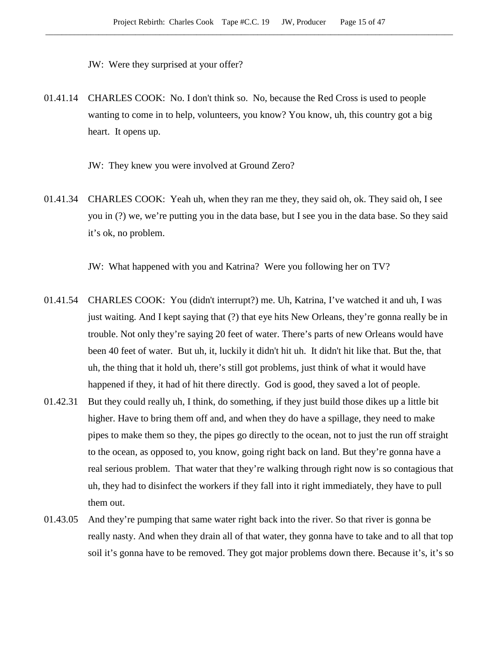JW: Were they surprised at your offer?

01.41.14 CHARLES COOK: No. I don't think so. No, because the Red Cross is used to people wanting to come in to help, volunteers, you know? You know, uh, this country got a big heart. It opens up.

JW: They knew you were involved at Ground Zero?

01.41.34 CHARLES COOK: Yeah uh, when they ran me they, they said oh, ok. They said oh, I see you in (?) we, we're putting you in the data base, but I see you in the data base. So they said it's ok, no problem.

JW: What happened with you and Katrina? Were you following her on TV?

- 01.41.54 CHARLES COOK: You (didn't interrupt?) me. Uh, Katrina, I've watched it and uh, I was just waiting. And I kept saying that (?) that eye hits New Orleans, they're gonna really be in trouble. Not only they're saying 20 feet of water. There's parts of new Orleans would have been 40 feet of water. But uh, it, luckily it didn't hit uh. It didn't hit like that. But the, that uh, the thing that it hold uh, there's still got problems, just think of what it would have happened if they, it had of hit there directly. God is good, they saved a lot of people.
- 01.42.31 But they could really uh, I think, do something, if they just build those dikes up a little bit higher. Have to bring them off and, and when they do have a spillage, they need to make pipes to make them so they, the pipes go directly to the ocean, not to just the run off straight to the ocean, as opposed to, you know, going right back on land. But they're gonna have a real serious problem. That water that they're walking through right now is so contagious that uh, they had to disinfect the workers if they fall into it right immediately, they have to pull them out.
- 01.43.05 And they're pumping that same water right back into the river. So that river is gonna be really nasty. And when they drain all of that water, they gonna have to take and to all that top soil it's gonna have to be removed. They got major problems down there. Because it's, it's so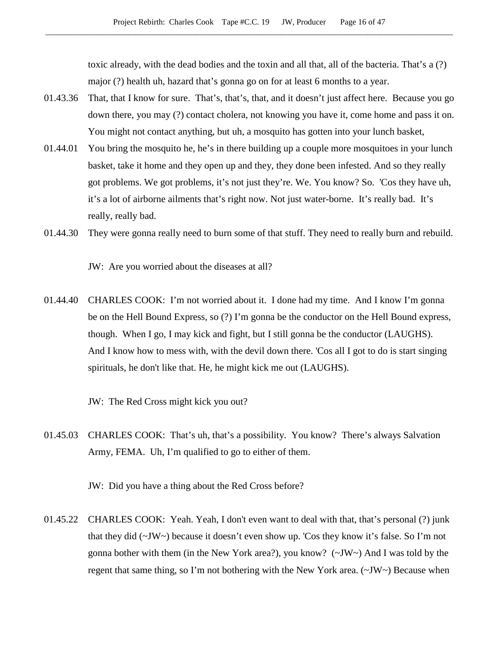toxic already, with the dead bodies and the toxin and all that, all of the bacteria. That's a (?) major (?) health uh, hazard that's gonna go on for at least 6 months to a year.

- 01.43.36 That, that I know for sure. That's, that's, that, and it doesn't just affect here. Because you go down there, you may (?) contact cholera, not knowing you have it, come home and pass it on. You might not contact anything, but uh, a mosquito has gotten into your lunch basket,
- 01.44.01 You bring the mosquito he, he's in there building up a couple more mosquitoes in your lunch basket, take it home and they open up and they, they done been infested. And so they really got problems. We got problems, it's not just they're. We. You know? So. 'Cos they have uh, it's a lot of airborne ailments that's right now. Not just water-borne. It's really bad. It's really, really bad.
- 01.44.30 They were gonna really need to burn some of that stuff. They need to really burn and rebuild.

JW: Are you worried about the diseases at all?

01.44.40 CHARLES COOK: I'm not worried about it. I done had my time. And I know I'm gonna be on the Hell Bound Express, so (?) I'm gonna be the conductor on the Hell Bound express, though. When I go, I may kick and fight, but I still gonna be the conductor (LAUGHS). And I know how to mess with, with the devil down there. 'Cos all I got to do is start singing spirituals, he don't like that. He, he might kick me out (LAUGHS).

JW: The Red Cross might kick you out?

01.45.03 CHARLES COOK: That's uh, that's a possibility. You know? There's always Salvation Army, FEMA. Uh, I'm qualified to go to either of them.

JW: Did you have a thing about the Red Cross before?

01.45.22 CHARLES COOK: Yeah. Yeah, I don't even want to deal with that, that's personal (?) junk that they did  $(\sim JW)$  because it doesn't even show up. 'Cos they know it's false. So I'm not gonna bother with them (in the New York area?), you know? (~JW~) And I was told by the regent that same thing, so I'm not bothering with the New York area.  $(\sim JW)$  Because when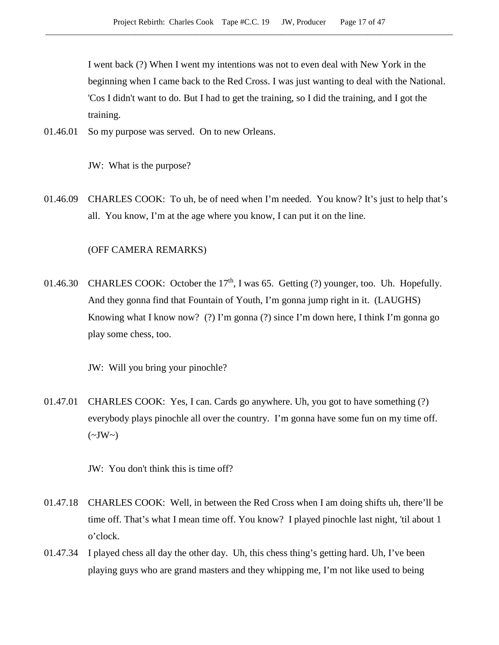I went back (?) When I went my intentions was not to even deal with New York in the beginning when I came back to the Red Cross. I was just wanting to deal with the National. 'Cos I didn't want to do. But I had to get the training, so I did the training, and I got the training.

01.46.01 So my purpose was served. On to new Orleans.

JW: What is the purpose?

01.46.09 CHARLES COOK: To uh, be of need when I'm needed. You know? It's just to help that's all. You know, I'm at the age where you know, I can put it on the line.

#### (OFF CAMERA REMARKS)

01.46.30 CHARLES COOK: October the  $17<sup>th</sup>$ , I was 65. Getting (?) younger, too. Uh. Hopefully. And they gonna find that Fountain of Youth, I'm gonna jump right in it. (LAUGHS) Knowing what I know now? (?) I'm gonna (?) since I'm down here, I think I'm gonna go play some chess, too.

JW: Will you bring your pinochle?

01.47.01 CHARLES COOK: Yes, I can. Cards go anywhere. Uh, you got to have something (?) everybody plays pinochle all over the country. I'm gonna have some fun on my time off.  $(\sim JW \sim)$ 

JW: You don't think this is time off?

- 01.47.18 CHARLES COOK: Well, in between the Red Cross when I am doing shifts uh, there'll be time off. That's what I mean time off. You know? I played pinochle last night, 'til about 1 o'clock.
- 01.47.34 I played chess all day the other day. Uh, this chess thing's getting hard. Uh, I've been playing guys who are grand masters and they whipping me, I'm not like used to being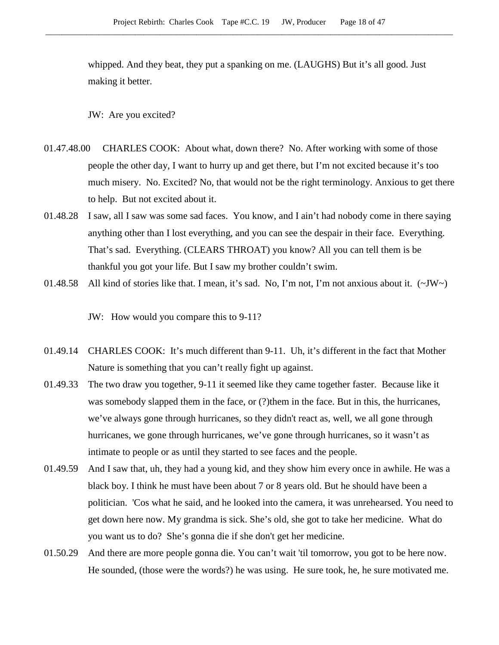whipped. And they beat, they put a spanking on me. (LAUGHS) But it's all good. Just making it better.

JW: Are you excited?

- 01.47.48.00 CHARLES COOK: About what, down there? No. After working with some of those people the other day, I want to hurry up and get there, but I'm not excited because it's too much misery. No. Excited? No, that would not be the right terminology. Anxious to get there to help. But not excited about it.
- 01.48.28 I saw, all I saw was some sad faces. You know, and I ain't had nobody come in there saying anything other than I lost everything, and you can see the despair in their face. Everything. That's sad. Everything. (CLEARS THROAT) you know? All you can tell them is be thankful you got your life. But I saw my brother couldn't swim.
- 01.48.58 All kind of stories like that. I mean, it's sad. No, I'm not, I'm not anxious about it.  $(\sim JW)$

JW: How would you compare this to 9-11?

- 01.49.14 CHARLES COOK: It's much different than 9-11. Uh, it's different in the fact that Mother Nature is something that you can't really fight up against.
- 01.49.33 The two draw you together, 9-11 it seemed like they came together faster. Because like it was somebody slapped them in the face, or (?)them in the face. But in this, the hurricanes, we've always gone through hurricanes, so they didn't react as, well, we all gone through hurricanes, we gone through hurricanes, we've gone through hurricanes, so it wasn't as intimate to people or as until they started to see faces and the people.
- 01.49.59 And I saw that, uh, they had a young kid, and they show him every once in awhile. He was a black boy. I think he must have been about 7 or 8 years old. But he should have been a politician. 'Cos what he said, and he looked into the camera, it was unrehearsed. You need to get down here now. My grandma is sick. She's old, she got to take her medicine. What do you want us to do? She's gonna die if she don't get her medicine.
- 01.50.29 And there are more people gonna die. You can't wait 'til tomorrow, you got to be here now. He sounded, (those were the words?) he was using. He sure took, he, he sure motivated me.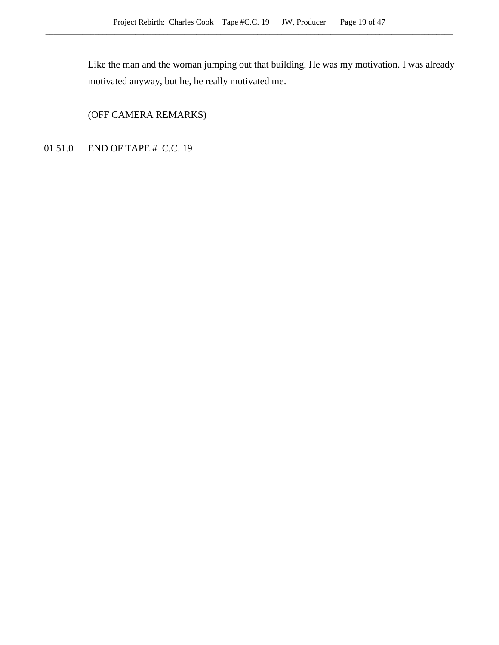Like the man and the woman jumping out that building. He was my motivation. I was already motivated anyway, but he, he really motivated me.

(OFF CAMERA REMARKS)

01.51.0 END OF TAPE # C.C. 19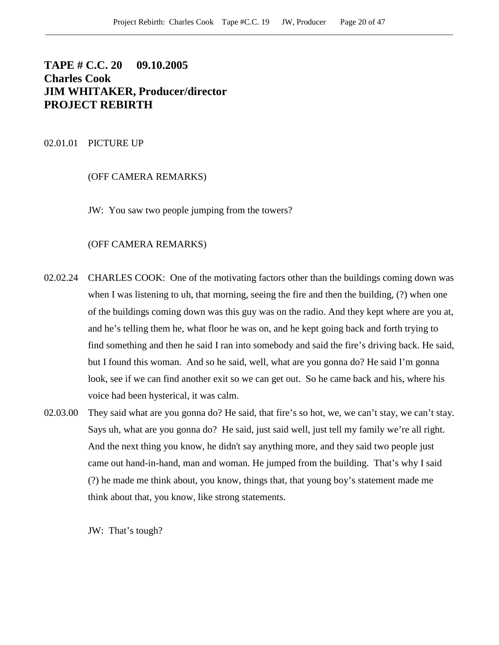# **TAPE # C.C. 20 09.10.2005 Charles Cook JIM WHITAKER, Producer/director PROJECT REBIRTH**

## 02.01.01 PICTURE UP

# (OFF CAMERA REMARKS)

JW: You saw two people jumping from the towers?

## (OFF CAMERA REMARKS)

- 02.02.24 CHARLES COOK: One of the motivating factors other than the buildings coming down was when I was listening to uh, that morning, seeing the fire and then the building, (?) when one of the buildings coming down was this guy was on the radio. And they kept where are you at, and he's telling them he, what floor he was on, and he kept going back and forth trying to find something and then he said I ran into somebody and said the fire's driving back. He said, but I found this woman. And so he said, well, what are you gonna do? He said I'm gonna look, see if we can find another exit so we can get out. So he came back and his, where his voice had been hysterical, it was calm.
- 02.03.00 They said what are you gonna do? He said, that fire's so hot, we, we can't stay, we can't stay. Says uh, what are you gonna do? He said, just said well, just tell my family we're all right. And the next thing you know, he didn't say anything more, and they said two people just came out hand-in-hand, man and woman. He jumped from the building. That's why I said (?) he made me think about, you know, things that, that young boy's statement made me think about that, you know, like strong statements.

JW: That's tough?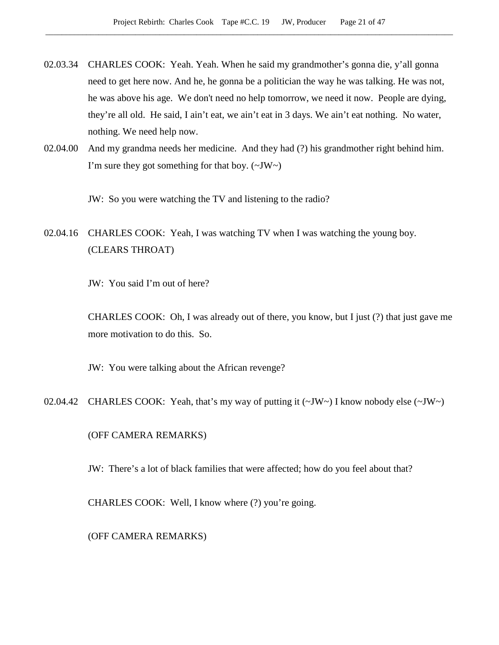- 02.03.34 CHARLES COOK: Yeah. Yeah. When he said my grandmother's gonna die, y'all gonna need to get here now. And he, he gonna be a politician the way he was talking. He was not, he was above his age. We don't need no help tomorrow, we need it now. People are dying, they're all old. He said, I ain't eat, we ain't eat in 3 days. We ain't eat nothing. No water, nothing. We need help now.
- 02.04.00 And my grandma needs her medicine. And they had (?) his grandmother right behind him. I'm sure they got something for that boy.  $(\sim JW \sim)$

JW: So you were watching the TV and listening to the radio?

# 02.04.16 CHARLES COOK: Yeah, I was watching TV when I was watching the young boy. (CLEARS THROAT)

JW: You said I'm out of here?

CHARLES COOK: Oh, I was already out of there, you know, but I just (?) that just gave me more motivation to do this. So.

JW: You were talking about the African revenge?

02.04.42 CHARLES COOK: Yeah, that's my way of putting it (~JW~) I know nobody else (~JW~)

(OFF CAMERA REMARKS)

JW: There's a lot of black families that were affected; how do you feel about that?

CHARLES COOK: Well, I know where (?) you're going.

(OFF CAMERA REMARKS)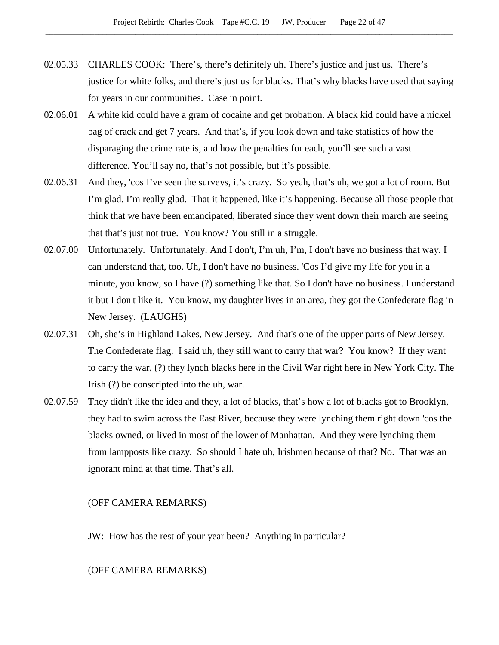- 02.05.33 CHARLES COOK: There's, there's definitely uh. There's justice and just us. There's justice for white folks, and there's just us for blacks. That's why blacks have used that saying for years in our communities. Case in point.
- 02.06.01 A white kid could have a gram of cocaine and get probation. A black kid could have a nickel bag of crack and get 7 years. And that's, if you look down and take statistics of how the disparaging the crime rate is, and how the penalties for each, you'll see such a vast difference. You'll say no, that's not possible, but it's possible.
- 02.06.31 And they, 'cos I've seen the surveys, it's crazy. So yeah, that's uh, we got a lot of room. But I'm glad. I'm really glad. That it happened, like it's happening. Because all those people that think that we have been emancipated, liberated since they went down their march are seeing that that's just not true. You know? You still in a struggle.
- 02.07.00 Unfortunately. Unfortunately. And I don't, I'm uh, I'm, I don't have no business that way. I can understand that, too. Uh, I don't have no business. 'Cos I'd give my life for you in a minute, you know, so I have (?) something like that. So I don't have no business. I understand it but I don't like it. You know, my daughter lives in an area, they got the Confederate flag in New Jersey. (LAUGHS)
- 02.07.31 Oh, she's in Highland Lakes, New Jersey. And that's one of the upper parts of New Jersey. The Confederate flag. I said uh, they still want to carry that war? You know? If they want to carry the war, (?) they lynch blacks here in the Civil War right here in New York City. The Irish (?) be conscripted into the uh, war.
- 02.07.59 They didn't like the idea and they, a lot of blacks, that's how a lot of blacks got to Brooklyn, they had to swim across the East River, because they were lynching them right down 'cos the blacks owned, or lived in most of the lower of Manhattan. And they were lynching them from lampposts like crazy. So should I hate uh, Irishmen because of that? No. That was an ignorant mind at that time. That's all.

## (OFF CAMERA REMARKS)

JW: How has the rest of your year been? Anything in particular?

#### (OFF CAMERA REMARKS)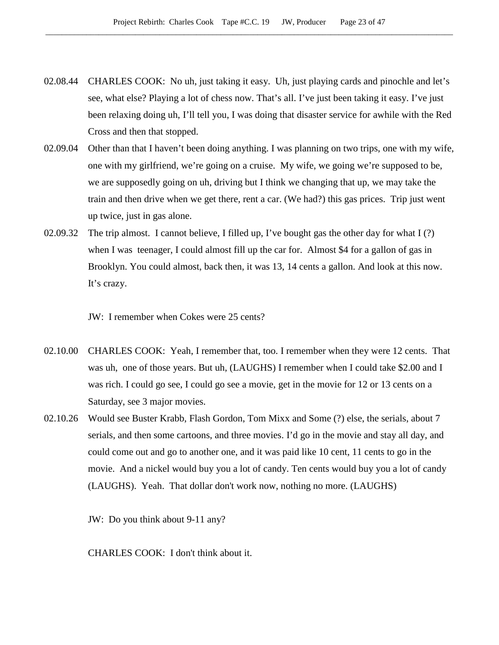- 02.08.44 CHARLES COOK: No uh, just taking it easy. Uh, just playing cards and pinochle and let's see, what else? Playing a lot of chess now. That's all. I've just been taking it easy. I've just been relaxing doing uh, I'll tell you, I was doing that disaster service for awhile with the Red Cross and then that stopped.
- 02.09.04 Other than that I haven't been doing anything. I was planning on two trips, one with my wife, one with my girlfriend, we're going on a cruise. My wife, we going we're supposed to be, we are supposedly going on uh, driving but I think we changing that up, we may take the train and then drive when we get there, rent a car. (We had?) this gas prices. Trip just went up twice, just in gas alone.
- 02.09.32 The trip almost. I cannot believe, I filled up, I've bought gas the other day for what I (?) when I was teenager, I could almost fill up the car for. Almost \$4 for a gallon of gas in Brooklyn. You could almost, back then, it was 13, 14 cents a gallon. And look at this now. It's crazy.

JW: I remember when Cokes were 25 cents?

- 02.10.00 CHARLES COOK: Yeah, I remember that, too. I remember when they were 12 cents. That was uh, one of those years. But uh, (LAUGHS) I remember when I could take \$2.00 and I was rich. I could go see, I could go see a movie, get in the movie for 12 or 13 cents on a Saturday, see 3 major movies.
- 02.10.26 Would see Buster Krabb, Flash Gordon, Tom Mixx and Some (?) else, the serials, about 7 serials, and then some cartoons, and three movies. I'd go in the movie and stay all day, and could come out and go to another one, and it was paid like 10 cent, 11 cents to go in the movie. And a nickel would buy you a lot of candy. Ten cents would buy you a lot of candy (LAUGHS). Yeah. That dollar don't work now, nothing no more. (LAUGHS)

JW: Do you think about 9-11 any?

CHARLES COOK: I don't think about it.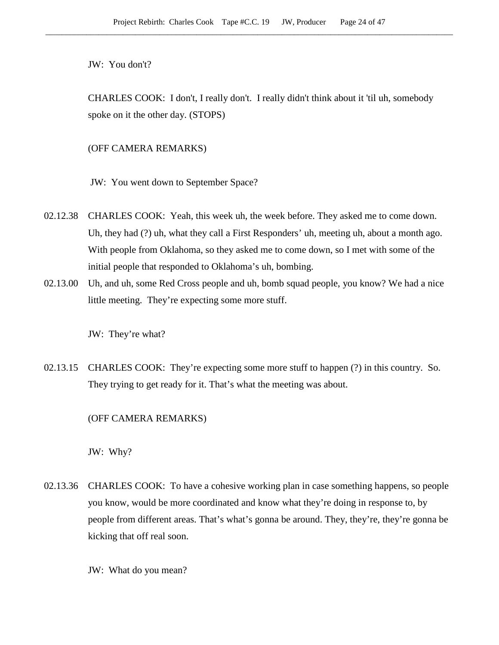JW: You don't?

CHARLES COOK: I don't, I really don't. I really didn't think about it 'til uh, somebody spoke on it the other day. (STOPS)

(OFF CAMERA REMARKS)

JW: You went down to September Space?

- 02.12.38 CHARLES COOK: Yeah, this week uh, the week before. They asked me to come down. Uh, they had (?) uh, what they call a First Responders' uh, meeting uh, about a month ago. With people from Oklahoma, so they asked me to come down, so I met with some of the initial people that responded to Oklahoma's uh, bombing.
- 02.13.00 Uh, and uh, some Red Cross people and uh, bomb squad people, you know? We had a nice little meeting. They're expecting some more stuff.

JW: They're what?

02.13.15 CHARLES COOK: They're expecting some more stuff to happen (?) in this country. So. They trying to get ready for it. That's what the meeting was about.

(OFF CAMERA REMARKS)

JW: Why?

02.13.36 CHARLES COOK: To have a cohesive working plan in case something happens, so people you know, would be more coordinated and know what they're doing in response to, by people from different areas. That's what's gonna be around. They, they're, they're gonna be kicking that off real soon.

JW: What do you mean?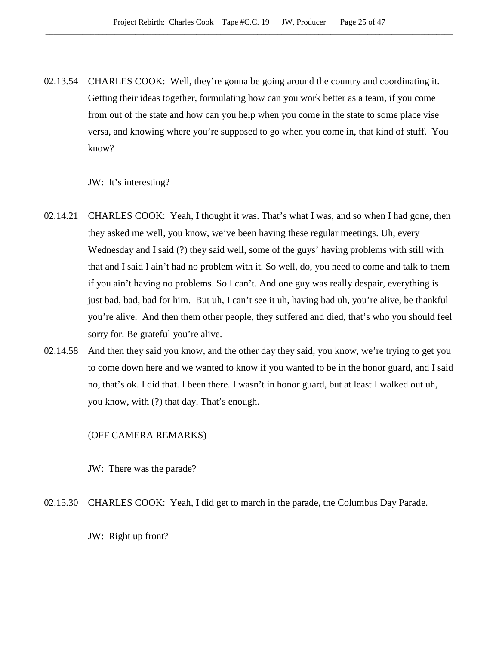02.13.54 CHARLES COOK: Well, they're gonna be going around the country and coordinating it. Getting their ideas together, formulating how can you work better as a team, if you come from out of the state and how can you help when you come in the state to some place vise versa, and knowing where you're supposed to go when you come in, that kind of stuff. You know?

JW: It's interesting?

- 02.14.21 CHARLES COOK: Yeah, I thought it was. That's what I was, and so when I had gone, then they asked me well, you know, we've been having these regular meetings. Uh, every Wednesday and I said (?) they said well, some of the guys' having problems with still with that and I said I ain't had no problem with it. So well, do, you need to come and talk to them if you ain't having no problems. So I can't. And one guy was really despair, everything is just bad, bad, bad for him. But uh, I can't see it uh, having bad uh, you're alive, be thankful you're alive. And then them other people, they suffered and died, that's who you should feel sorry for. Be grateful you're alive.
- 02.14.58 And then they said you know, and the other day they said, you know, we're trying to get you to come down here and we wanted to know if you wanted to be in the honor guard, and I said no, that's ok. I did that. I been there. I wasn't in honor guard, but at least I walked out uh, you know, with (?) that day. That's enough.

## (OFF CAMERA REMARKS)

JW: There was the parade?

02.15.30 CHARLES COOK: Yeah, I did get to march in the parade, the Columbus Day Parade.

JW: Right up front?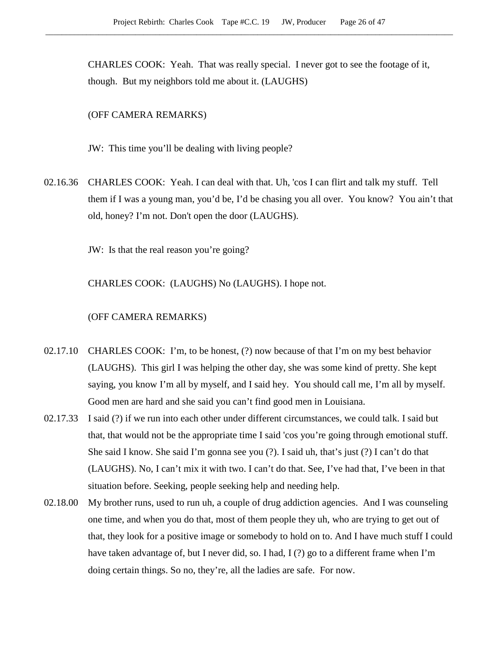CHARLES COOK: Yeah. That was really special. I never got to see the footage of it, though. But my neighbors told me about it. (LAUGHS)

## (OFF CAMERA REMARKS)

JW: This time you'll be dealing with living people?

02.16.36 CHARLES COOK: Yeah. I can deal with that. Uh, 'cos I can flirt and talk my stuff. Tell them if I was a young man, you'd be, I'd be chasing you all over. You know? You ain't that old, honey? I'm not. Don't open the door (LAUGHS).

JW: Is that the real reason you're going?

CHARLES COOK: (LAUGHS) No (LAUGHS). I hope not.

#### (OFF CAMERA REMARKS)

- 02.17.10 CHARLES COOK: I'm, to be honest, (?) now because of that I'm on my best behavior (LAUGHS). This girl I was helping the other day, she was some kind of pretty. She kept saying, you know I'm all by myself, and I said hey. You should call me, I'm all by myself. Good men are hard and she said you can't find good men in Louisiana.
- 02.17.33 I said (?) if we run into each other under different circumstances, we could talk. I said but that, that would not be the appropriate time I said 'cos you're going through emotional stuff. She said I know. She said I'm gonna see you (?). I said uh, that's just (?) I can't do that (LAUGHS). No, I can't mix it with two. I can't do that. See, I've had that, I've been in that situation before. Seeking, people seeking help and needing help.
- 02.18.00 My brother runs, used to run uh, a couple of drug addiction agencies. And I was counseling one time, and when you do that, most of them people they uh, who are trying to get out of that, they look for a positive image or somebody to hold on to. And I have much stuff I could have taken advantage of, but I never did, so. I had, I (?) go to a different frame when I'm doing certain things. So no, they're, all the ladies are safe. For now.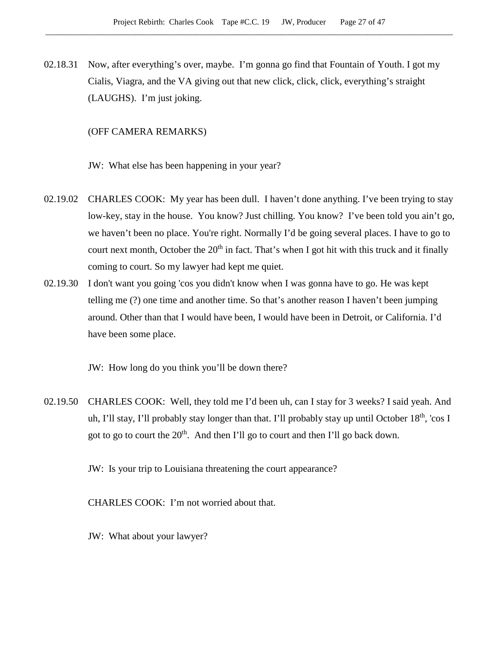02.18.31 Now, after everything's over, maybe. I'm gonna go find that Fountain of Youth. I got my Cialis, Viagra, and the VA giving out that new click, click, click, everything's straight (LAUGHS). I'm just joking.

## (OFF CAMERA REMARKS)

JW: What else has been happening in your year?

- 02.19.02 CHARLES COOK: My year has been dull. I haven't done anything. I've been trying to stay low-key, stay in the house. You know? Just chilling. You know? I've been told you ain't go, we haven't been no place. You're right. Normally I'd be going several places. I have to go to court next month, October the 20<sup>th</sup> in fact. That's when I got hit with this truck and it finally coming to court. So my lawyer had kept me quiet.
- 02.19.30 I don't want you going 'cos you didn't know when I was gonna have to go. He was kept telling me (?) one time and another time. So that's another reason I haven't been jumping around. Other than that I would have been, I would have been in Detroit, or California. I'd have been some place.

JW: How long do you think you'll be down there?

02.19.50 CHARLES COOK: Well, they told me I'd been uh, can I stay for 3 weeks? I said yeah. And uh, I'll stay, I'll probably stay longer than that. I'll probably stay up until October 18<sup>th</sup>, 'cos I got to go to court the  $20<sup>th</sup>$ . And then I'll go to court and then I'll go back down.

JW: Is your trip to Louisiana threatening the court appearance?

CHARLES COOK: I'm not worried about that.

JW: What about your lawyer?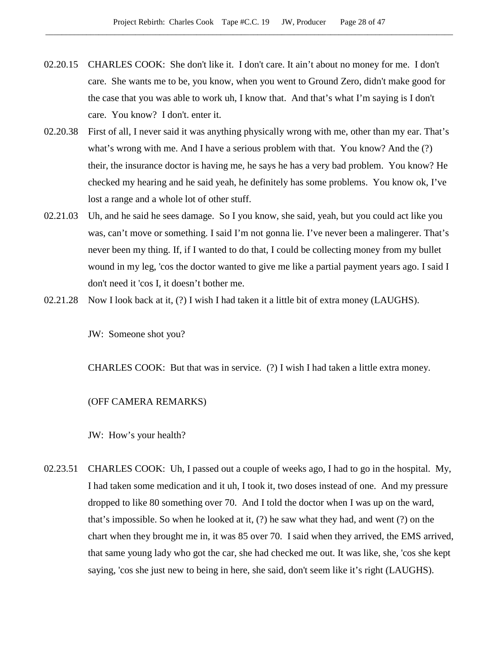- 02.20.15 CHARLES COOK: She don't like it. I don't care. It ain't about no money for me. I don't care. She wants me to be, you know, when you went to Ground Zero, didn't make good for the case that you was able to work uh, I know that. And that's what I'm saying is I don't care. You know? I don't. enter it.
- 02.20.38 First of all, I never said it was anything physically wrong with me, other than my ear. That's what's wrong with me. And I have a serious problem with that. You know? And the (?) their, the insurance doctor is having me, he says he has a very bad problem. You know? He checked my hearing and he said yeah, he definitely has some problems. You know ok, I've lost a range and a whole lot of other stuff.
- 02.21.03 Uh, and he said he sees damage. So I you know, she said, yeah, but you could act like you was, can't move or something. I said I'm not gonna lie. I've never been a malingerer. That's never been my thing. If, if I wanted to do that, I could be collecting money from my bullet wound in my leg, 'cos the doctor wanted to give me like a partial payment years ago. I said I don't need it 'cos I, it doesn't bother me.
- 02.21.28 Now I look back at it, (?) I wish I had taken it a little bit of extra money (LAUGHS).

JW: Someone shot you?

CHARLES COOK: But that was in service.  $(?)$  I wish I had taken a little extra money.

#### (OFF CAMERA REMARKS)

JW: How's your health?

02.23.51 CHARLES COOK: Uh, I passed out a couple of weeks ago, I had to go in the hospital. My, I had taken some medication and it uh, I took it, two doses instead of one. And my pressure dropped to like 80 something over 70. And I told the doctor when I was up on the ward, that's impossible. So when he looked at it, (?) he saw what they had, and went (?) on the chart when they brought me in, it was 85 over 70. I said when they arrived, the EMS arrived, that same young lady who got the car, she had checked me out. It was like, she, 'cos she kept saying, 'cos she just new to being in here, she said, don't seem like it's right (LAUGHS).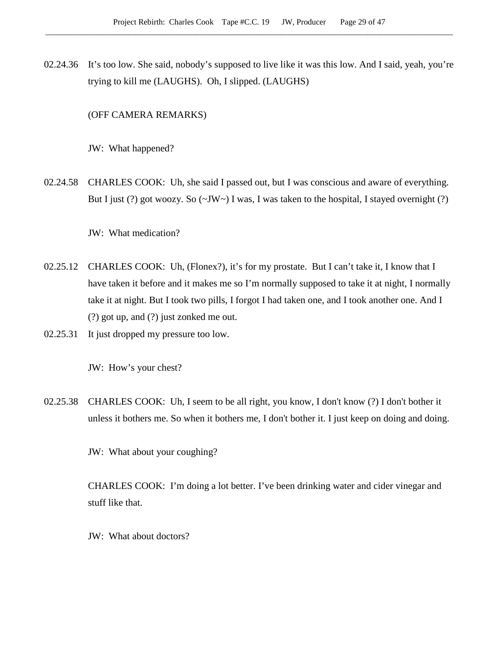02.24.36 It's too low. She said, nobody's supposed to live like it was this low. And I said, yeah, you're trying to kill me (LAUGHS). Oh, I slipped. (LAUGHS)

(OFF CAMERA REMARKS)

JW: What happened?

02.24.58 CHARLES COOK: Uh, she said I passed out, but I was conscious and aware of everything. But I just (?) got woozy. So  $(\sim JW \sim)$  I was, I was taken to the hospital, I stayed overnight (?)

JW: What medication?

- 02.25.12 CHARLES COOK: Uh, (Flonex?), it's for my prostate. But I can't take it, I know that I have taken it before and it makes me so I'm normally supposed to take it at night, I normally take it at night. But I took two pills, I forgot I had taken one, and I took another one. And I (?) got up, and (?) just zonked me out.
- 02.25.31 It just dropped my pressure too low.

JW: How's your chest?

02.25.38 CHARLES COOK: Uh, I seem to be all right, you know, I don't know (?) I don't bother it unless it bothers me. So when it bothers me, I don't bother it. I just keep on doing and doing.

JW: What about your coughing?

CHARLES COOK: I'm doing a lot better. I've been drinking water and cider vinegar and stuff like that.

JW: What about doctors?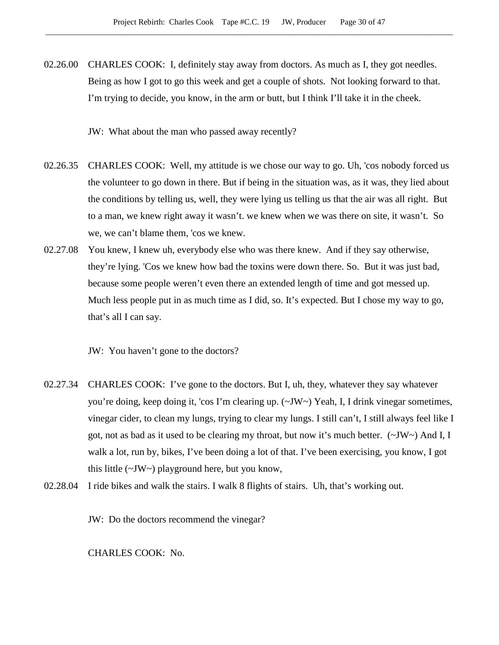02.26.00 CHARLES COOK: I, definitely stay away from doctors. As much as I, they got needles. Being as how I got to go this week and get a couple of shots. Not looking forward to that. I'm trying to decide, you know, in the arm or butt, but I think I'll take it in the cheek.

JW: What about the man who passed away recently?

- 02.26.35 CHARLES COOK: Well, my attitude is we chose our way to go. Uh, 'cos nobody forced us the volunteer to go down in there. But if being in the situation was, as it was, they lied about the conditions by telling us, well, they were lying us telling us that the air was all right. But to a man, we knew right away it wasn't. we knew when we was there on site, it wasn't. So we, we can't blame them, 'cos we knew.
- 02.27.08 You knew, I knew uh, everybody else who was there knew. And if they say otherwise, they're lying. 'Cos we knew how bad the toxins were down there. So. But it was just bad, because some people weren't even there an extended length of time and got messed up. Much less people put in as much time as I did, so. It's expected. But I chose my way to go, that's all I can say.

JW: You haven't gone to the doctors?

- 02.27.34 CHARLES COOK: I've gone to the doctors. But I, uh, they, whatever they say whatever you're doing, keep doing it, 'cos I'm clearing up. (~JW~) Yeah, I, I drink vinegar sometimes, vinegar cider, to clean my lungs, trying to clear my lungs. I still can't, I still always feel like I got, not as bad as it used to be clearing my throat, but now it's much better.  $(\sim JW)$  And I, I walk a lot, run by, bikes, I've been doing a lot of that. I've been exercising, you know, I got this little (~JW~) playground here, but you know,
- 02.28.04 I ride bikes and walk the stairs. I walk 8 flights of stairs. Uh, that's working out.

JW: Do the doctors recommend the vinegar?

CHARLES COOK: No.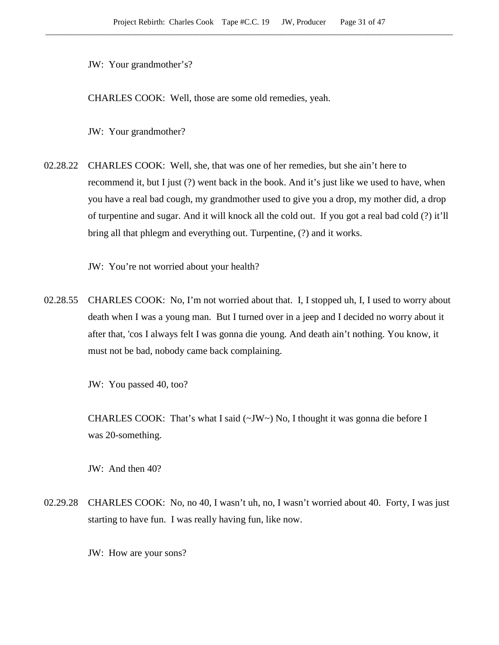JW: Your grandmother's?

CHARLES COOK: Well, those are some old remedies, yeah.

JW: Your grandmother?

02.28.22 CHARLES COOK: Well, she, that was one of her remedies, but she ain't here to recommend it, but I just (?) went back in the book. And it's just like we used to have, when you have a real bad cough, my grandmother used to give you a drop, my mother did, a drop of turpentine and sugar. And it will knock all the cold out. If you got a real bad cold (?) it'll bring all that phlegm and everything out. Turpentine, (?) and it works.

JW: You're not worried about your health?

02.28.55 CHARLES COOK: No, I'm not worried about that. I, I stopped uh, I, I used to worry about death when I was a young man. But I turned over in a jeep and I decided no worry about it after that, 'cos I always felt I was gonna die young. And death ain't nothing. You know, it must not be bad, nobody came back complaining.

JW: You passed 40, too?

CHARLES COOK: That's what I said  $(\sim JW \sim)$  No, I thought it was gonna die before I was 20-something.

JW: And then 40?

02.29.28 CHARLES COOK: No, no 40, I wasn't uh, no, I wasn't worried about 40. Forty, I was just starting to have fun. I was really having fun, like now.

JW: How are your sons?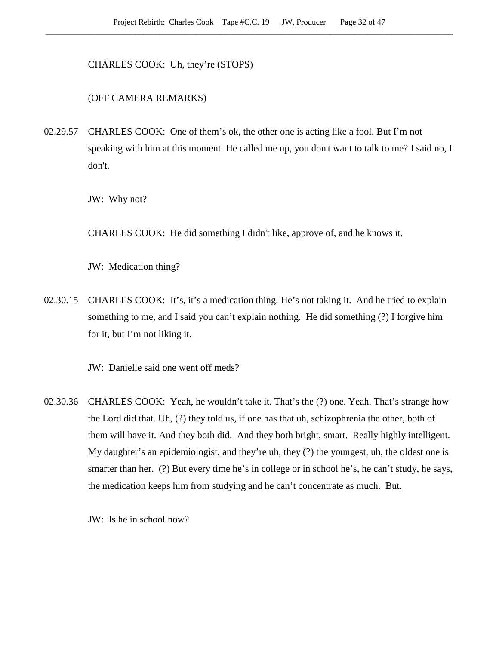CHARLES COOK: Uh, they're (STOPS)

(OFF CAMERA REMARKS)

02.29.57 CHARLES COOK: One of them's ok, the other one is acting like a fool. But I'm not speaking with him at this moment. He called me up, you don't want to talk to me? I said no, I don't.

JW: Why not?

CHARLES COOK: He did something I didn't like, approve of, and he knows it.

JW: Medication thing?

02.30.15 CHARLES COOK: It's, it's a medication thing. He's not taking it. And he tried to explain something to me, and I said you can't explain nothing. He did something (?) I forgive him for it, but I'm not liking it.

JW: Danielle said one went off meds?

02.30.36 CHARLES COOK: Yeah, he wouldn't take it. That's the (?) one. Yeah. That's strange how the Lord did that. Uh, (?) they told us, if one has that uh, schizophrenia the other, both of them will have it. And they both did. And they both bright, smart. Really highly intelligent. My daughter's an epidemiologist, and they're uh, they (?) the youngest, uh, the oldest one is smarter than her. (?) But every time he's in college or in school he's, he can't study, he says, the medication keeps him from studying and he can't concentrate as much. But.

JW: Is he in school now?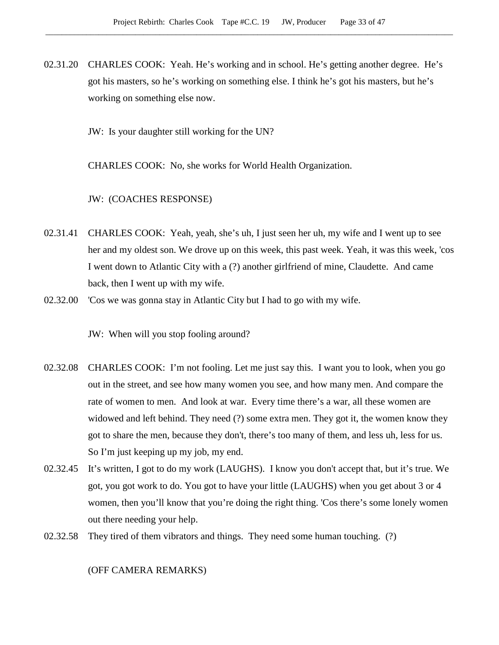02.31.20 CHARLES COOK: Yeah. He's working and in school. He's getting another degree. He's got his masters, so he's working on something else. I think he's got his masters, but he's working on something else now.

JW: Is your daughter still working for the UN?

CHARLES COOK: No, she works for World Health Organization.

JW: (COACHES RESPONSE)

- 02.31.41 CHARLES COOK: Yeah, yeah, she's uh, I just seen her uh, my wife and I went up to see her and my oldest son. We drove up on this week, this past week. Yeah, it was this week, 'cos I went down to Atlantic City with a (?) another girlfriend of mine, Claudette. And came back, then I went up with my wife.
- 02.32.00 'Cos we was gonna stay in Atlantic City but I had to go with my wife.

JW: When will you stop fooling around?

- 02.32.08 CHARLES COOK: I'm not fooling. Let me just say this. I want you to look, when you go out in the street, and see how many women you see, and how many men. And compare the rate of women to men. And look at war. Every time there's a war, all these women are widowed and left behind. They need (?) some extra men. They got it, the women know they got to share the men, because they don't, there's too many of them, and less uh, less for us. So I'm just keeping up my job, my end.
- 02.32.45 It's written, I got to do my work (LAUGHS). I know you don't accept that, but it's true. We got, you got work to do. You got to have your little (LAUGHS) when you get about 3 or 4 women, then you'll know that you're doing the right thing. 'Cos there's some lonely women out there needing your help.
- 02.32.58 They tired of them vibrators and things. They need some human touching. (?)

(OFF CAMERA REMARKS)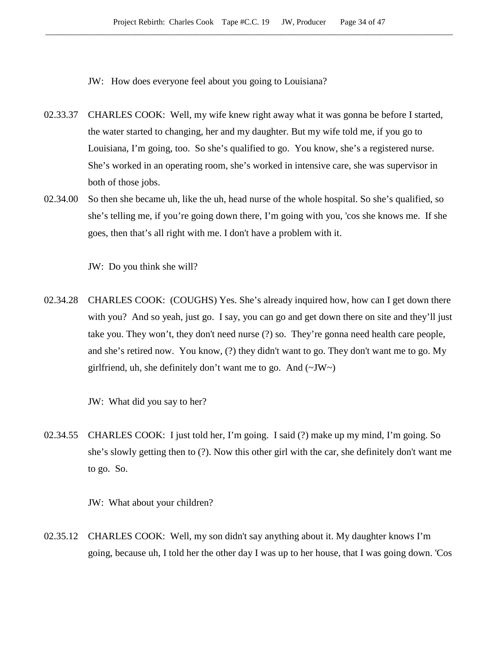JW: How does everyone feel about you going to Louisiana?

- 02.33.37 CHARLES COOK: Well, my wife knew right away what it was gonna be before I started, the water started to changing, her and my daughter. But my wife told me, if you go to Louisiana, I'm going, too. So she's qualified to go. You know, she's a registered nurse. She's worked in an operating room, she's worked in intensive care, she was supervisor in both of those jobs.
- 02.34.00 So then she became uh, like the uh, head nurse of the whole hospital. So she's qualified, so she's telling me, if you're going down there, I'm going with you, 'cos she knows me. If she goes, then that's all right with me. I don't have a problem with it.

JW: Do you think she will?

02.34.28 CHARLES COOK: (COUGHS) Yes. She's already inquired how, how can I get down there with you? And so yeah, just go. I say, you can go and get down there on site and they'll just take you. They won't, they don't need nurse (?) so. They're gonna need health care people, and she's retired now. You know, (?) they didn't want to go. They don't want me to go. My girlfriend, uh, she definitely don't want me to go. And  $(\sim JW)$ 

JW: What did you say to her?

02.34.55 CHARLES COOK: I just told her, I'm going. I said (?) make up my mind, I'm going. So she's slowly getting then to (?). Now this other girl with the car, she definitely don't want me to go. So.

JW: What about your children?

02.35.12 CHARLES COOK: Well, my son didn't say anything about it. My daughter knows I'm going, because uh, I told her the other day I was up to her house, that I was going down. 'Cos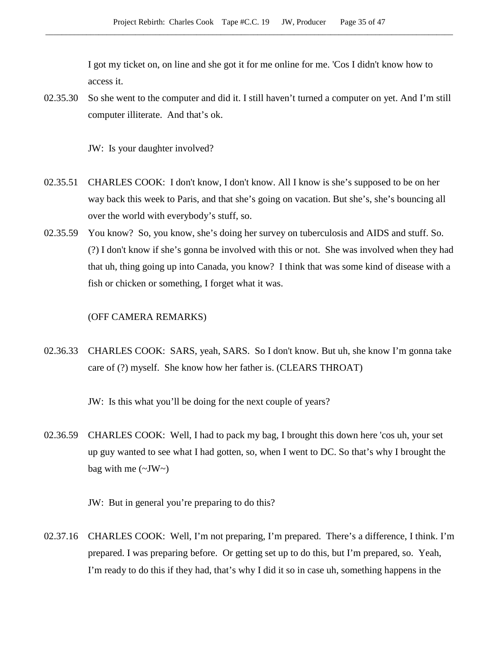I got my ticket on, on line and she got it for me online for me. 'Cos I didn't know how to access it.

02.35.30 So she went to the computer and did it. I still haven't turned a computer on yet. And I'm still computer illiterate. And that's ok.

JW: Is your daughter involved?

- 02.35.51 CHARLES COOK: I don't know, I don't know. All I know is she's supposed to be on her way back this week to Paris, and that she's going on vacation. But she's, she's bouncing all over the world with everybody's stuff, so.
- 02.35.59 You know? So, you know, she's doing her survey on tuberculosis and AIDS and stuff. So. (?) I don't know if she's gonna be involved with this or not. She was involved when they had that uh, thing going up into Canada, you know? I think that was some kind of disease with a fish or chicken or something, I forget what it was.

#### (OFF CAMERA REMARKS)

02.36.33 CHARLES COOK: SARS, yeah, SARS. So I don't know. But uh, she know I'm gonna take care of (?) myself. She know how her father is. (CLEARS THROAT)

JW: Is this what you'll be doing for the next couple of years?

02.36.59 CHARLES COOK: Well, I had to pack my bag, I brought this down here 'cos uh, your set up guy wanted to see what I had gotten, so, when I went to DC. So that's why I brought the bag with me  $(\sim JW \sim)$ 

JW: But in general you're preparing to do this?

02.37.16 CHARLES COOK: Well, I'm not preparing, I'm prepared. There's a difference, I think. I'm prepared. I was preparing before. Or getting set up to do this, but I'm prepared, so. Yeah, I'm ready to do this if they had, that's why I did it so in case uh, something happens in the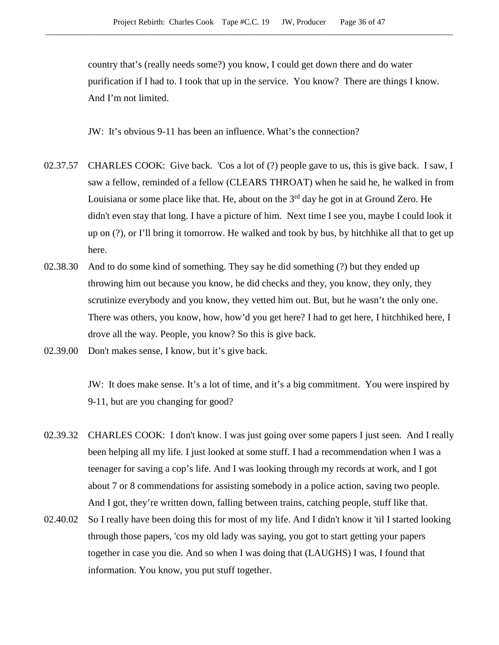country that's (really needs some?) you know, I could get down there and do water purification if I had to. I took that up in the service. You know? There are things I know. And I'm not limited.

JW: It's obvious 9-11 has been an influence. What's the connection?

- 02.37.57 CHARLES COOK: Give back. 'Cos a lot of (?) people gave to us, this is give back. I saw, I saw a fellow, reminded of a fellow (CLEARS THROAT) when he said he, he walked in from Louisiana or some place like that. He, about on the  $3<sup>rd</sup>$  day he got in at Ground Zero. He didn't even stay that long. I have a picture of him. Next time I see you, maybe I could look it up on (?), or I'll bring it tomorrow. He walked and took by bus, by hitchhike all that to get up here.
- 02.38.30 And to do some kind of something. They say he did something (?) but they ended up throwing him out because you know, he did checks and they, you know, they only, they scrutinize everybody and you know, they vetted him out. But, but he wasn't the only one. There was others, you know, how, how'd you get here? I had to get here, I hitchhiked here, I drove all the way. People, you know? So this is give back.
- 02.39.00 Don't makes sense, I know, but it's give back.

JW: It does make sense. It's a lot of time, and it's a big commitment. You were inspired by 9-11, but are you changing for good?

- 02.39.32 CHARLES COOK: I don't know. I was just going over some papers I just seen. And I really been helping all my life. I just looked at some stuff. I had a recommendation when I was a teenager for saving a cop's life. And I was looking through my records at work, and I got about 7 or 8 commendations for assisting somebody in a police action, saving two people. And I got, they're written down, falling between trains, catching people, stuff like that.
- 02.40.02 So I really have been doing this for most of my life. And I didn't know it 'til I started looking through those papers, 'cos my old lady was saying, you got to start getting your papers together in case you die. And so when I was doing that (LAUGHS) I was, I found that information. You know, you put stuff together.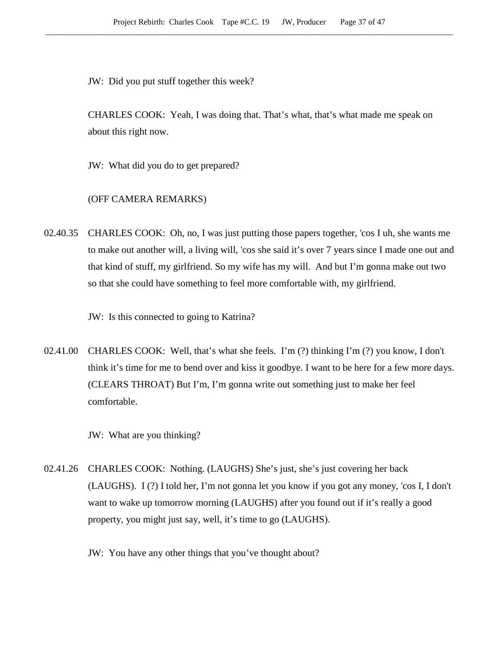JW: Did you put stuff together this week?

CHARLES COOK: Yeah, I was doing that. That's what, that's what made me speak on about this right now.

JW: What did you do to get prepared?

# (OFF CAMERA REMARKS)

02.40.35 CHARLES COOK: Oh, no, I was just putting those papers together, 'cos I uh, she wants me to make out another will, a living will, 'cos she said it's over 7 years since I made one out and that kind of stuff, my girlfriend. So my wife has my will. And but I'm gonna make out two so that she could have something to feel more comfortable with, my girlfriend.

JW: Is this connected to going to Katrina?

02.41.00 CHARLES COOK: Well, that's what she feels. I'm (?) thinking I'm (?) you know, I don't think it's time for me to bend over and kiss it goodbye. I want to be here for a few more days. (CLEARS THROAT) But I'm, I'm gonna write out something just to make her feel comfortable.

JW: What are you thinking?

- 02.41.26 CHARLES COOK: Nothing. (LAUGHS) She's just, she's just covering her back (LAUGHS). I (?) I told her, I'm not gonna let you know if you got any money, 'cos I, I don't want to wake up tomorrow morning (LAUGHS) after you found out if it's really a good property, you might just say, well, it's time to go (LAUGHS).
	- JW: You have any other things that you've thought about?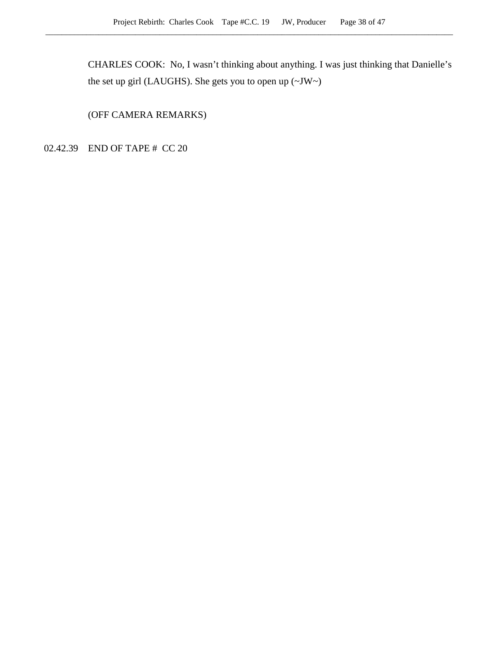CHARLES COOK: No, I wasn't thinking about anything. I was just thinking that Danielle's the set up girl (LAUGHS). She gets you to open up  $(\sim JW \sim)$ 

(OFF CAMERA REMARKS)

02.42.39 END OF TAPE # CC 20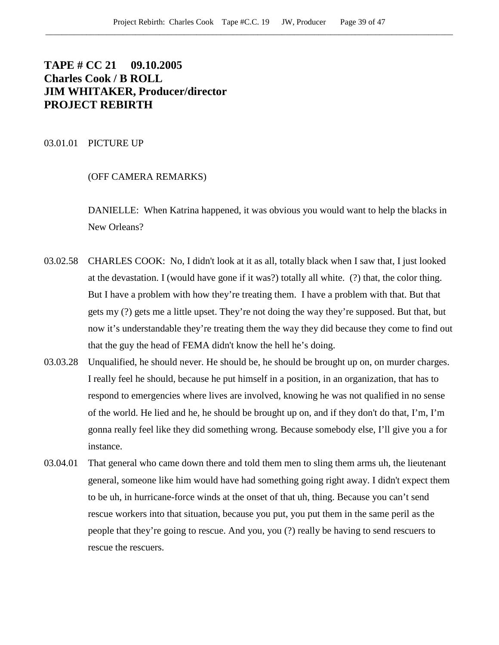# **TAPE # CC 21 09.10.2005 Charles Cook / B ROLL JIM WHITAKER, Producer/director PROJECT REBIRTH**

## 03.01.01 PICTURE UP

# (OFF CAMERA REMARKS)

DANIELLE: When Katrina happened, it was obvious you would want to help the blacks in New Orleans?

- 03.02.58 CHARLES COOK: No, I didn't look at it as all, totally black when I saw that, I just looked at the devastation. I (would have gone if it was?) totally all white. (?) that, the color thing. But I have a problem with how they're treating them. I have a problem with that. But that gets my (?) gets me a little upset. They're not doing the way they're supposed. But that, but now it's understandable they're treating them the way they did because they come to find out that the guy the head of FEMA didn't know the hell he's doing.
- 03.03.28 Unqualified, he should never. He should be, he should be brought up on, on murder charges. I really feel he should, because he put himself in a position, in an organization, that has to respond to emergencies where lives are involved, knowing he was not qualified in no sense of the world. He lied and he, he should be brought up on, and if they don't do that, I'm, I'm gonna really feel like they did something wrong. Because somebody else, I'll give you a for instance.
- 03.04.01 That general who came down there and told them men to sling them arms uh, the lieutenant general, someone like him would have had something going right away. I didn't expect them to be uh, in hurricane-force winds at the onset of that uh, thing. Because you can't send rescue workers into that situation, because you put, you put them in the same peril as the people that they're going to rescue. And you, you (?) really be having to send rescuers to rescue the rescuers.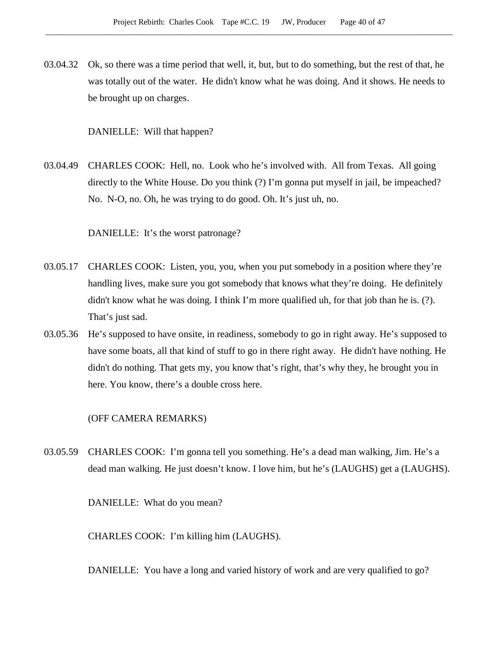03.04.32 Ok, so there was a time period that well, it, but, but to do something, but the rest of that, he was totally out of the water. He didn't know what he was doing. And it shows. He needs to be brought up on charges.

DANIELLE: Will that happen?

03.04.49 CHARLES COOK: Hell, no. Look who he's involved with. All from Texas. All going directly to the White House. Do you think (?) I'm gonna put myself in jail, be impeached? No. N-O, no. Oh, he was trying to do good. Oh. It's just uh, no.

DANIELLE: It's the worst patronage?

- 03.05.17 CHARLES COOK: Listen, you, you, when you put somebody in a position where they're handling lives, make sure you got somebody that knows what they're doing. He definitely didn't know what he was doing. I think I'm more qualified uh, for that job than he is. (?). That's just sad.
- 03.05.36 He's supposed to have onsite, in readiness, somebody to go in right away. He's supposed to have some boats, all that kind of stuff to go in there right away. He didn't have nothing. He didn't do nothing. That gets my, you know that's right, that's why they, he brought you in here. You know, there's a double cross here.

(OFF CAMERA REMARKS)

03.05.59 CHARLES COOK: I'm gonna tell you something. He's a dead man walking, Jim. He's a dead man walking. He just doesn't know. I love him, but he's (LAUGHS) get a (LAUGHS).

DANIELLE: What do you mean?

CHARLES COOK: I'm killing him (LAUGHS).

DANIELLE: You have a long and varied history of work and are very qualified to go?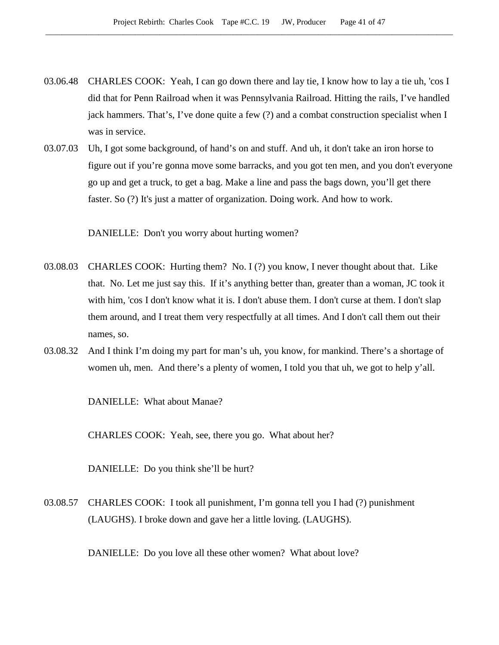- 03.06.48 CHARLES COOK: Yeah, I can go down there and lay tie, I know how to lay a tie uh, 'cos I did that for Penn Railroad when it was Pennsylvania Railroad. Hitting the rails, I've handled jack hammers. That's, I've done quite a few (?) and a combat construction specialist when I was in service.
- 03.07.03 Uh, I got some background, of hand's on and stuff. And uh, it don't take an iron horse to figure out if you're gonna move some barracks, and you got ten men, and you don't everyone go up and get a truck, to get a bag. Make a line and pass the bags down, you'll get there faster. So (?) It's just a matter of organization. Doing work. And how to work.

DANIELLE: Don't you worry about hurting women?

- 03.08.03 CHARLES COOK: Hurting them? No. I (?) you know, I never thought about that. Like that. No. Let me just say this. If it's anything better than, greater than a woman, JC took it with him, 'cos I don't know what it is. I don't abuse them. I don't curse at them. I don't slap them around, and I treat them very respectfully at all times. And I don't call them out their names, so.
- 03.08.32 And I think I'm doing my part for man's uh, you know, for mankind. There's a shortage of women uh, men. And there's a plenty of women, I told you that uh, we got to help y'all.

DANIELLE: What about Manae?

CHARLES COOK: Yeah, see, there you go. What about her?

DANIELLE: Do you think she'll be hurt?

03.08.57 CHARLES COOK: I took all punishment, I'm gonna tell you I had (?) punishment (LAUGHS). I broke down and gave her a little loving. (LAUGHS).

DANIELLE: Do you love all these other women? What about love?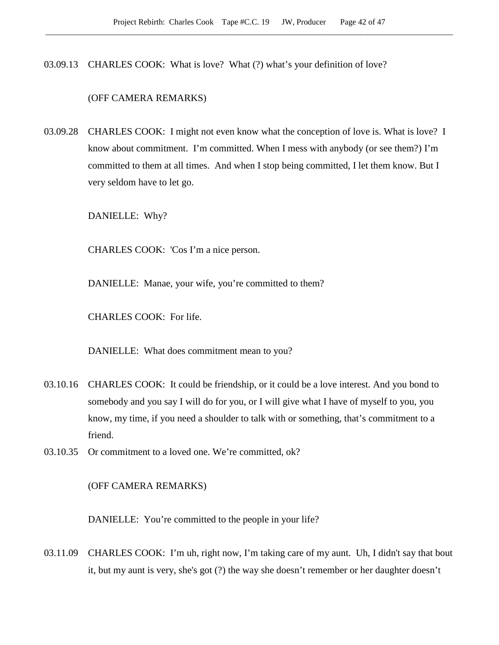03.09.13 CHARLES COOK: What is love? What (?) what's your definition of love?

## (OFF CAMERA REMARKS)

03.09.28 CHARLES COOK: I might not even know what the conception of love is. What is love? I know about commitment. I'm committed. When I mess with anybody (or see them?) I'm committed to them at all times. And when I stop being committed, I let them know. But I very seldom have to let go.

DANIELLE: Why?

CHARLES COOK: 'Cos I'm a nice person.

DANIELLE: Manae, your wife, you're committed to them?

CHARLES COOK: For life.

DANIELLE: What does commitment mean to you?

- 03.10.16 CHARLES COOK: It could be friendship, or it could be a love interest. And you bond to somebody and you say I will do for you, or I will give what I have of myself to you, you know, my time, if you need a shoulder to talk with or something, that's commitment to a friend.
- 03.10.35 Or commitment to a loved one. We're committed, ok?

(OFF CAMERA REMARKS)

DANIELLE: You're committed to the people in your life?

03.11.09 CHARLES COOK: I'm uh, right now, I'm taking care of my aunt. Uh, I didn't say that bout it, but my aunt is very, she's got (?) the way she doesn't remember or her daughter doesn't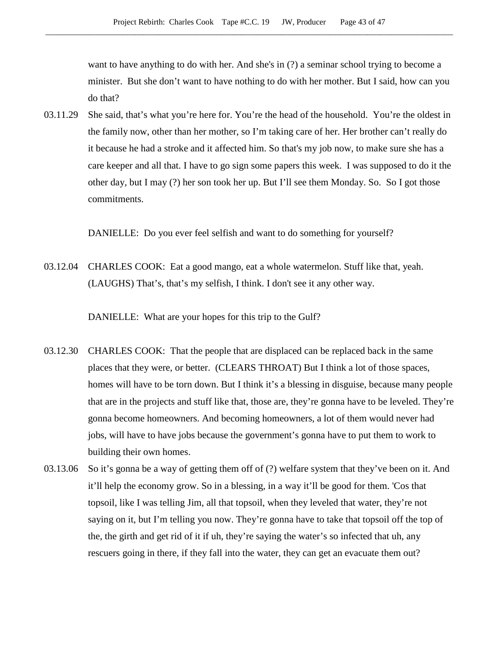want to have anything to do with her. And she's in (?) a seminar school trying to become a minister. But she don't want to have nothing to do with her mother. But I said, how can you do that?

03.11.29 She said, that's what you're here for. You're the head of the household. You're the oldest in the family now, other than her mother, so I'm taking care of her. Her brother can't really do it because he had a stroke and it affected him. So that's my job now, to make sure she has a care keeper and all that. I have to go sign some papers this week. I was supposed to do it the other day, but I may (?) her son took her up. But I'll see them Monday. So. So I got those commitments.

DANIELLE: Do you ever feel selfish and want to do something for yourself?

03.12.04 CHARLES COOK: Eat a good mango, eat a whole watermelon. Stuff like that, yeah. (LAUGHS) That's, that's my selfish, I think. I don't see it any other way.

DANIELLE: What are your hopes for this trip to the Gulf?

- 03.12.30 CHARLES COOK: That the people that are displaced can be replaced back in the same places that they were, or better. (CLEARS THROAT) But I think a lot of those spaces, homes will have to be torn down. But I think it's a blessing in disguise, because many people that are in the projects and stuff like that, those are, they're gonna have to be leveled. They're gonna become homeowners. And becoming homeowners, a lot of them would never had jobs, will have to have jobs because the government's gonna have to put them to work to building their own homes.
- 03.13.06 So it's gonna be a way of getting them off of (?) welfare system that they've been on it. And it'll help the economy grow. So in a blessing, in a way it'll be good for them. 'Cos that topsoil, like I was telling Jim, all that topsoil, when they leveled that water, they're not saying on it, but I'm telling you now. They're gonna have to take that topsoil off the top of the, the girth and get rid of it if uh, they're saying the water's so infected that uh, any rescuers going in there, if they fall into the water, they can get an evacuate them out?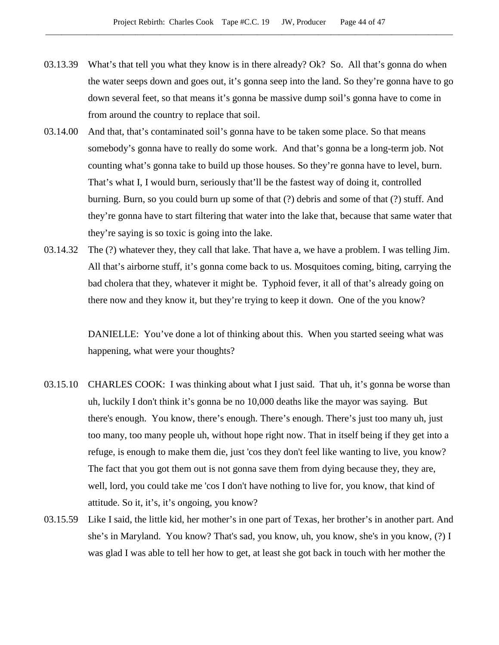- 03.13.39 What's that tell you what they know is in there already? Ok? So. All that's gonna do when the water seeps down and goes out, it's gonna seep into the land. So they're gonna have to go down several feet, so that means it's gonna be massive dump soil's gonna have to come in from around the country to replace that soil.
- 03.14.00 And that, that's contaminated soil's gonna have to be taken some place. So that means somebody's gonna have to really do some work. And that's gonna be a long-term job. Not counting what's gonna take to build up those houses. So they're gonna have to level, burn. That's what I, I would burn, seriously that'll be the fastest way of doing it, controlled burning. Burn, so you could burn up some of that (?) debris and some of that (?) stuff. And they're gonna have to start filtering that water into the lake that, because that same water that they're saying is so toxic is going into the lake.
- 03.14.32 The (?) whatever they, they call that lake. That have a, we have a problem. I was telling Jim. All that's airborne stuff, it's gonna come back to us. Mosquitoes coming, biting, carrying the bad cholera that they, whatever it might be. Typhoid fever, it all of that's already going on there now and they know it, but they're trying to keep it down. One of the you know?

DANIELLE: You've done a lot of thinking about this. When you started seeing what was happening, what were your thoughts?

- 03.15.10 CHARLES COOK: I was thinking about what I just said. That uh, it's gonna be worse than uh, luckily I don't think it's gonna be no 10,000 deaths like the mayor was saying. But there's enough. You know, there's enough. There's enough. There's just too many uh, just too many, too many people uh, without hope right now. That in itself being if they get into a refuge, is enough to make them die, just 'cos they don't feel like wanting to live, you know? The fact that you got them out is not gonna save them from dying because they, they are, well, lord, you could take me 'cos I don't have nothing to live for, you know, that kind of attitude. So it, it's, it's ongoing, you know?
- 03.15.59 Like I said, the little kid, her mother's in one part of Texas, her brother's in another part. And she's in Maryland. You know? That's sad, you know, uh, you know, she's in you know, (?) I was glad I was able to tell her how to get, at least she got back in touch with her mother the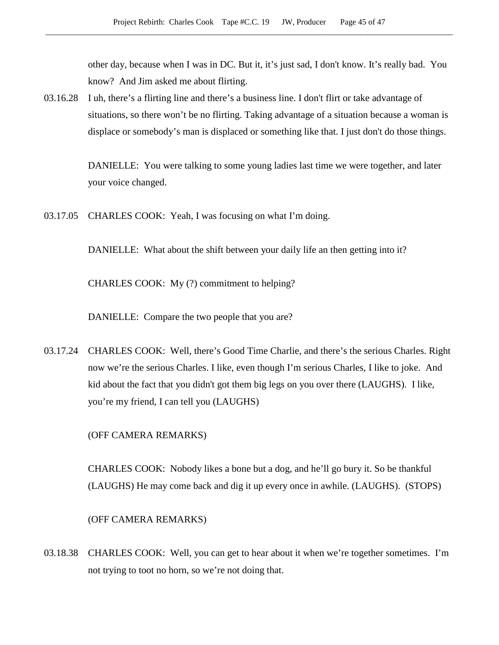other day, because when I was in DC. But it, it's just sad, I don't know. It's really bad. You know? And Jim asked me about flirting.

03.16.28 I uh, there's a flirting line and there's a business line. I don't flirt or take advantage of situations, so there won't be no flirting. Taking advantage of a situation because a woman is displace or somebody's man is displaced or something like that. I just don't do those things.

> DANIELLE: You were talking to some young ladies last time we were together, and later your voice changed.

03.17.05 CHARLES COOK: Yeah, I was focusing on what I'm doing.

DANIELLE: What about the shift between your daily life an then getting into it?

CHARLES COOK: My (?) commitment to helping?

DANIELLE: Compare the two people that you are?

03.17.24 CHARLES COOK: Well, there's Good Time Charlie, and there's the serious Charles. Right now we're the serious Charles. I like, even though I'm serious Charles, I like to joke. And kid about the fact that you didn't got them big legs on you over there (LAUGHS). I like, you're my friend, I can tell you (LAUGHS)

(OFF CAMERA REMARKS)

CHARLES COOK: Nobody likes a bone but a dog, and he'll go bury it. So be thankful (LAUGHS) He may come back and dig it up every once in awhile. (LAUGHS). (STOPS)

(OFF CAMERA REMARKS)

03.18.38 CHARLES COOK: Well, you can get to hear about it when we're together sometimes. I'm not trying to toot no horn, so we're not doing that.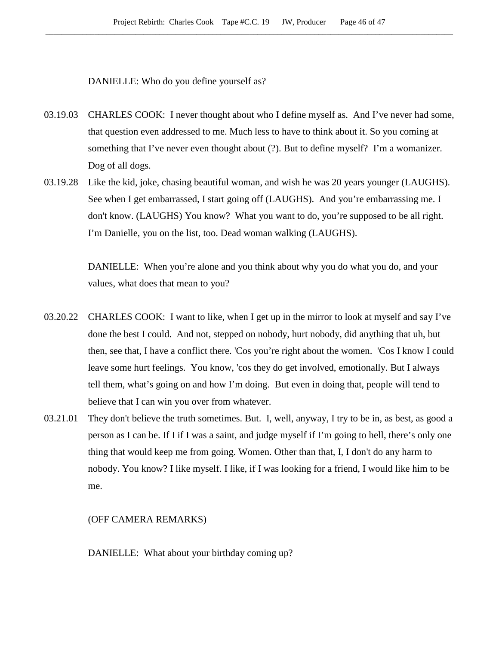DANIELLE: Who do you define yourself as?

- 03.19.03 CHARLES COOK: I never thought about who I define myself as. And I've never had some, that question even addressed to me. Much less to have to think about it. So you coming at something that I've never even thought about (?). But to define myself? I'm a womanizer. Dog of all dogs.
- 03.19.28 Like the kid, joke, chasing beautiful woman, and wish he was 20 years younger (LAUGHS). See when I get embarrassed, I start going off (LAUGHS). And you're embarrassing me. I don't know. (LAUGHS) You know? What you want to do, you're supposed to be all right. I'm Danielle, you on the list, too. Dead woman walking (LAUGHS).

DANIELLE: When you're alone and you think about why you do what you do, and your values, what does that mean to you?

- 03.20.22 CHARLES COOK: I want to like, when I get up in the mirror to look at myself and say I've done the best I could. And not, stepped on nobody, hurt nobody, did anything that uh, but then, see that, I have a conflict there. 'Cos you're right about the women. 'Cos I know I could leave some hurt feelings. You know, 'cos they do get involved, emotionally. But I always tell them, what's going on and how I'm doing. But even in doing that, people will tend to believe that I can win you over from whatever.
- 03.21.01 They don't believe the truth sometimes. But. I, well, anyway, I try to be in, as best, as good a person as I can be. If I if I was a saint, and judge myself if I'm going to hell, there's only one thing that would keep me from going. Women. Other than that, I, I don't do any harm to nobody. You know? I like myself. I like, if I was looking for a friend, I would like him to be me.

(OFF CAMERA REMARKS)

DANIELLE: What about your birthday coming up?